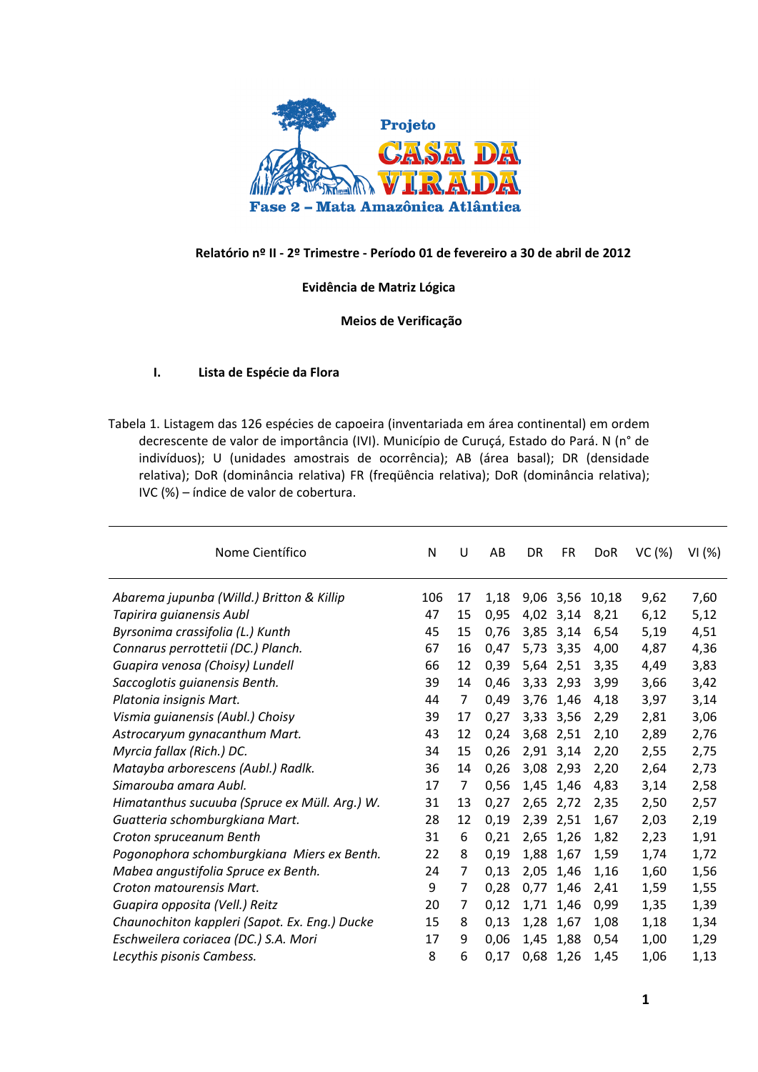

#### **Relatório nº II - 2º Trimestre - Período 01 de fevereiro a 30 de abril de 2012**

#### **Evidência de Matriz Lógica**

#### **Meios de Verificação**

#### **I. Lista de Espécie da Flora**

Tabela 1. Listagem das 126 espécies de capoeira (inventariada em área continental) em ordem decrescente de valor de importância (IVI). Município de Curuçá, Estado do Pará. N (n° de indivíduos); U (unidades amostrais de ocorrência); AB (área basal); DR (densidade relativa); DoR (dominância relativa) FR (freqüência relativa); DoR (dominância relativa); IVC (%) – índice de valor de cobertura.

| Nome Científico                               |     | U  | AB   | DR   | <b>FR</b> | <b>DoR</b> | VC(%) | VI(%) |
|-----------------------------------------------|-----|----|------|------|-----------|------------|-------|-------|
| Abarema jupunba (Willd.) Britton & Killip     | 106 | 17 | 1,18 |      | 9,06 3,56 | 10,18      | 9,62  | 7,60  |
| Tapirira guianensis Aubl                      | 47  | 15 | 0,95 |      | 4,02 3,14 | 8,21       | 6,12  | 5,12  |
| Byrsonima crassifolia (L.) Kunth              | 45  | 15 | 0,76 | 3,85 | 3,14      | 6,54       | 5,19  | 4,51  |
| Connarus perrottetii (DC.) Planch.            | 67  | 16 | 0,47 | 5,73 | 3,35      | 4,00       | 4,87  | 4,36  |
| Guapira venosa (Choisy) Lundell               | 66  | 12 | 0,39 | 5,64 | 2,51      | 3,35       | 4,49  | 3,83  |
| Saccoglotis guianensis Benth.                 | 39  | 14 | 0,46 | 3,33 | 2,93      | 3,99       | 3,66  | 3,42  |
| Platonia insignis Mart.                       | 44  | 7  | 0,49 | 3,76 | 1,46      | 4,18       | 3,97  | 3,14  |
| Vismia guianensis (Aubl.) Choisy              | 39  | 17 | 0,27 |      | 3,33 3,56 | 2,29       | 2,81  | 3,06  |
| Astrocaryum gynacanthum Mart.                 | 43  | 12 | 0,24 |      | 3,68 2,51 | 2,10       | 2,89  | 2,76  |
| Myrcia fallax (Rich.) DC.                     | 34  | 15 | 0,26 |      | 2,91 3,14 | 2,20       | 2,55  | 2,75  |
| Matayba arborescens (Aubl.) Radlk.            | 36  | 14 | 0,26 |      | 3,08 2,93 | 2,20       | 2,64  | 2,73  |
| Simarouba amara Aubl.                         | 17  | 7  | 0,56 |      | 1,45 1,46 | 4,83       | 3,14  | 2,58  |
| Himatanthus sucuuba (Spruce ex Müll. Arg.) W. | 31  | 13 | 0,27 | 2,65 | 2,72      | 2,35       | 2,50  | 2,57  |
| Guatteria schomburgkiana Mart.                | 28  | 12 | 0,19 | 2,39 | 2,51      | 1,67       | 2,03  | 2,19  |
| Croton spruceanum Benth                       | 31  | 6  | 0,21 | 2,65 | 1,26      | 1,82       | 2,23  | 1,91  |
| Pogonophora schomburgkiana Miers ex Benth.    | 22  | 8  | 0,19 | 1,88 | 1,67      | 1,59       | 1,74  | 1,72  |
| Mabea angustifolia Spruce ex Benth.           | 24  | 7  | 0,13 | 2,05 | 1,46      | 1,16       | 1,60  | 1,56  |
| Croton matourensis Mart.                      | 9   | 7  | 0,28 | 0,77 | 1,46      | 2,41       | 1,59  | 1,55  |
| Guapira opposita (Vell.) Reitz                | 20  | 7  | 0,12 | 1,71 | 1,46      | 0,99       | 1,35  | 1,39  |
| Chaunochiton kappleri (Sapot. Ex. Eng.) Ducke | 15  | 8  | 0,13 | 1,28 | 1,67      | 1,08       | 1,18  | 1,34  |
| Eschweilera coriacea (DC.) S.A. Mori          | 17  | 9  | 0,06 | 1,45 | 1,88      | 0,54       | 1,00  | 1,29  |
| Lecythis pisonis Cambess.                     | 8   | 6  | 0,17 |      | 0,68 1,26 | 1,45       | 1,06  | 1,13  |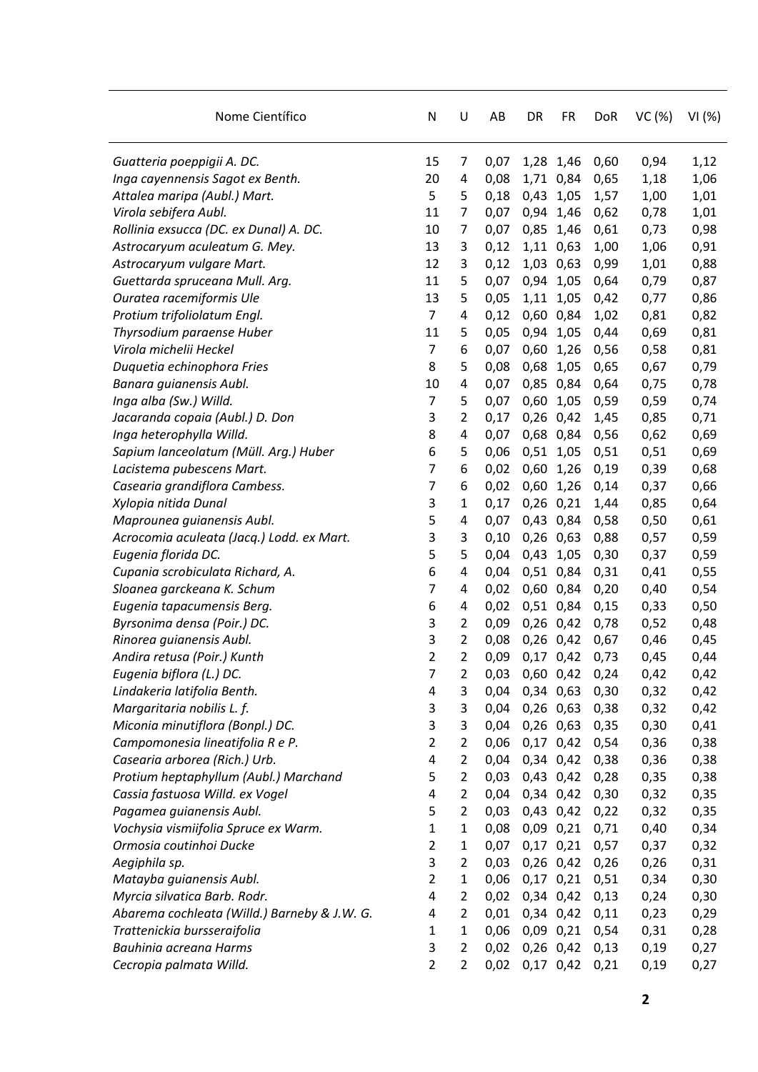| Nome Científico                              | N                       | U              | AB   | DR            | <b>FR</b>     | <b>DoR</b> | VC(%) | VI(%) |
|----------------------------------------------|-------------------------|----------------|------|---------------|---------------|------------|-------|-------|
| Guatteria poeppigii A. DC.                   | 15                      | 7              | 0,07 |               | 1,28 1,46     | 0,60       | 0,94  | 1,12  |
| Inga cayennensis Sagot ex Benth.             | 20                      | 4              | 0,08 |               | 1,71 0,84     | 0,65       | 1,18  | 1,06  |
| Attalea maripa (Aubl.) Mart.                 | 5                       | 5              | 0,18 | 0,43 1,05     |               | 1,57       | 1,00  | 1,01  |
| Virola sebifera Aubl.                        | 11                      | 7              | 0,07 | 0,94          | 1,46          | 0,62       | 0,78  | 1,01  |
| Rollinia exsucca (DC. ex Dunal) A. DC.       | 10                      | $\overline{7}$ | 0,07 |               | 0,85 1,46     | 0,61       | 0,73  | 0,98  |
| Astrocaryum aculeatum G. Mey.                | 13                      | 3              | 0,12 |               | 1,11 0,63     | 1,00       | 1,06  | 0,91  |
| Astrocaryum vulgare Mart.                    | 12                      | 3              | 0,12 |               | 1,03 0,63     | 0,99       | 1,01  | 0,88  |
| Guettarda spruceana Mull. Arg.               | 11                      | 5              | 0,07 | 0,94          | 1,05          | 0,64       | 0,79  | 0,87  |
| Ouratea racemiformis Ule                     | 13                      | 5              | 0,05 | 1,11          | 1,05          | 0,42       | 0,77  | 0,86  |
| Protium trifoliolatum Engl.                  | $\overline{7}$          | 4              | 0,12 |               | 0,60 0,84     | 1,02       | 0,81  | 0,82  |
| Thyrsodium paraense Huber                    | 11                      | 5              | 0,05 | 0,94 1,05     |               | 0,44       | 0,69  | 0,81  |
| Virola michelii Heckel                       | $\overline{7}$          | 6              | 0,07 | 0,60          | 1,26          | 0,56       | 0,58  | 0,81  |
| Duquetia echinophora Fries                   | 8                       | 5              | 0,08 | 0,68          | 1,05          | 0,65       | 0,67  | 0,79  |
| Banara guianensis Aubl.                      | 10                      | 4              | 0,07 |               | 0,85 0,84     | 0,64       | 0,75  | 0,78  |
| Inga alba (Sw.) Willd.                       | $\overline{7}$          | 5              | 0,07 | 0,60          | 1,05          | 0,59       | 0,59  | 0,74  |
| Jacaranda copaia (Aubl.) D. Don              | 3                       | 2              | 0,17 | 0,26          | 0,42          | 1,45       | 0,85  | 0,71  |
| Inga heterophylla Willd.                     | 8                       | 4              | 0,07 | 0,68          | 0,84          | 0,56       | 0,62  | 0,69  |
| Sapium lanceolatum (Müll. Arg.) Huber        | 6                       | 5              | 0,06 | 0,51 1,05     |               | 0,51       | 0,51  | 0,69  |
| Lacistema pubescens Mart.                    | $\overline{7}$          | 6              | 0,02 | 0,60          | 1,26          | 0,19       | 0,39  | 0,68  |
| Casearia grandiflora Cambess.                | $\overline{7}$          | 6              | 0,02 | 0,60          | 1,26          | 0,14       | 0,37  | 0,66  |
| Xylopia nitida Dunal                         | 3                       | 1              | 0,17 | 0,26          | 0,21          | 1,44       | 0,85  | 0,64  |
| Maprounea guianensis Aubl.                   | 5                       | 4              | 0,07 |               | 0,43 0,84     | 0,58       | 0,50  | 0,61  |
| Acrocomia aculeata (Jacq.) Lodd. ex Mart.    | 3                       | 3              | 0,10 | $0,26$ $0,63$ |               | 0,88       | 0,57  | 0,59  |
| Eugenia florida DC.                          | 5                       | 5              | 0,04 | 0,43          | 1,05          | 0,30       | 0,37  | 0,59  |
| Cupania scrobiculata Richard, A.             | 6                       | 4              | 0,04 |               | 0,51 0,84     | 0,31       | 0,41  | 0,55  |
| Sloanea garckeana K. Schum                   | 7                       | 4              | 0,02 |               | 0,60 0,84     | 0,20       | 0,40  | 0,54  |
| Eugenia tapacumensis Berg.                   | 6                       | 4              | 0,02 |               | 0,51 0,84     | 0,15       | 0,33  | 0,50  |
| Byrsonima densa (Poir.) DC.                  | 3                       | $\overline{2}$ | 0,09 | 0,26 0,42     |               | 0,78       | 0,52  | 0,48  |
| Rinorea guianensis Aubl.                     | 3                       | 2              | 0,08 |               | 0,26 0,42     | 0,67       | 0,46  | 0,45  |
| Andira retusa (Poir.) Kunth                  | $\overline{2}$          | 2              | 0,09 |               | 0,17 0,42     | 0,73       | 0,45  | 0,44  |
| Eugenia biflora (L.) DC.                     | 7                       | 2              | 0,03 | $0,60$ $0,42$ |               | 0,24       | 0,42  | 0,42  |
| Lindakeria latifolia Benth.                  | 4                       | 3              | 0,04 | 0,34 0,63     |               | 0,30       | 0,32  | 0,42  |
| Margaritaria nobilis L. f.                   | 3                       | 3              | 0,04 |               | $0,26$ 0,63   | 0,38       | 0,32  | 0,42  |
| Miconia minutiflora (Bonpl.) DC.             | 3                       | 3              | 0,04 |               | $0,26$ 0,63   | 0,35       | 0,30  | 0,41  |
| Campomonesia lineatifolia R e P.             | $\overline{2}$          | 2              | 0,06 |               | $0,17$ 0,42   | 0,54       | 0,36  | 0,38  |
| Casearia arborea (Rich.) Urb.                | $\pmb{4}$               | $\overline{2}$ | 0,04 |               | 0,34 0,42     | 0,38       | 0,36  | 0,38  |
| Protium heptaphyllum (Aubl.) Marchand        | 5                       | $\overline{2}$ | 0,03 |               | 0,43 0,42     | 0,28       | 0,35  | 0,38  |
| Cassia fastuosa Willd. ex Vogel              | 4                       | $\overline{2}$ | 0,04 |               | 0,34 0,42     | 0,30       | 0,32  | 0,35  |
| Pagamea guianensis Aubl.                     | 5                       | $\overline{2}$ | 0,03 |               | 0,43 0,42     | 0,22       | 0,32  | 0,35  |
| Vochysia vismiifolia Spruce ex Warm.         | $\mathbf{1}$            | 1              | 0,08 |               | $0,09$ $0,21$ | 0,71       | 0,40  | 0,34  |
| Ormosia coutinhoi Ducke                      | $\overline{2}$          | 1              | 0,07 |               | $0,17$ $0,21$ | 0,57       | 0,37  | 0,32  |
| Aegiphila sp.                                | 3                       | $\overline{2}$ | 0,03 |               | $0,26$ $0,42$ | 0,26       | 0,26  | 0,31  |
| Matayba guianensis Aubl.                     | $\overline{2}$          | $\mathbf{1}$   | 0,06 |               | $0,17$ $0,21$ | 0,51       | 0,34  | 0,30  |
| Myrcia silvatica Barb. Rodr.                 | $\overline{4}$          | $\overline{2}$ | 0,02 |               | 0,34 0,42     | 0,13       | 0,24  | 0,30  |
| Abarema cochleata (Willd.) Barneby & J.W. G. | $\overline{\mathbf{4}}$ | $\overline{2}$ | 0,01 |               | 0,34 0,42     | 0,11       | 0,23  | 0,29  |
| Trattenickia bursseraifolia                  | 1                       | 1              | 0,06 | $0,09$ $0,21$ |               | 0,54       | 0,31  | 0,28  |
| Bauhinia acreana Harms                       | 3                       | $\overline{2}$ | 0,02 |               | $0,26$ $0,42$ | 0,13       | 0,19  | 0,27  |
| Cecropia palmata Willd.                      | $\overline{2}$          | $\overline{2}$ | 0,02 |               | $0,17$ 0,42   | 0,21       | 0,19  | 0,27  |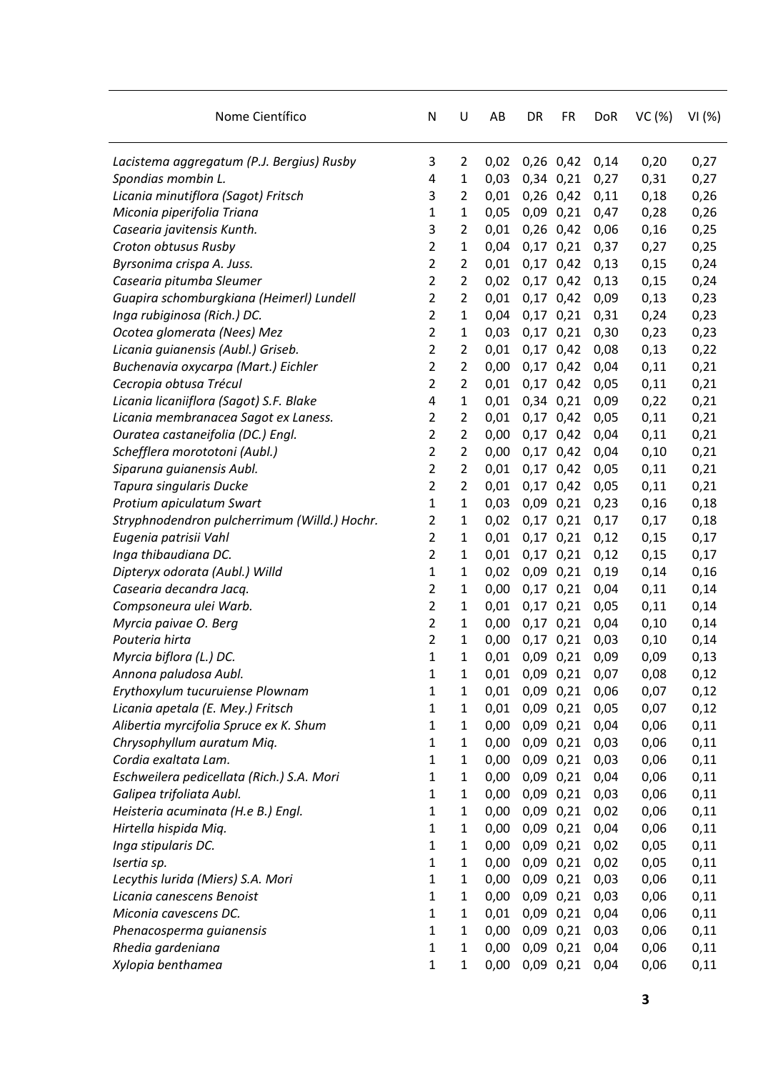| Nome Científico                              | N              | U              | AB   | DR            | <b>FR</b>     | <b>DoR</b> | VC(%) | VI(%) |
|----------------------------------------------|----------------|----------------|------|---------------|---------------|------------|-------|-------|
| Lacistema aggregatum (P.J. Bergius) Rusby    | 3              | 2              | 0,02 |               | $0,26$ $0,42$ | 0,14       | 0,20  | 0,27  |
| Spondias mombin L.                           | 4              | 1              | 0,03 | 0,34 0,21     |               | 0,27       | 0,31  | 0,27  |
| Licania minutiflora (Sagot) Fritsch          | 3              | 2              | 0,01 | 0,26 0,42     |               | 0,11       | 0,18  | 0,26  |
| Miconia piperifolia Triana                   | $\mathbf{1}$   | 1              | 0,05 | 0,09 0,21     |               | 0,47       | 0,28  | 0,26  |
| Casearia javitensis Kunth.                   | 3              | 2              | 0,01 | 0,26 0,42     |               | 0,06       | 0,16  | 0,25  |
| Croton obtusus Rusby                         | 2              | 1              | 0,04 | $0,17$ $0,21$ |               | 0,37       | 0,27  | 0,25  |
| Byrsonima crispa A. Juss.                    | $\overline{2}$ | 2              | 0,01 |               | $0,17$ $0,42$ | 0,13       | 0,15  | 0,24  |
| Casearia pitumba Sleumer                     | 2              | 2              | 0,02 | $0,17$ $0,42$ |               | 0,13       | 0,15  | 0,24  |
| Guapira schomburgkiana (Heimerl) Lundell     | 2              | 2              | 0,01 | 0,17          | 0,42          | 0,09       | 0,13  | 0,23  |
| Inga rubiginosa (Rich.) DC.                  | 2              | 1              | 0,04 | $0,17$ $0,21$ |               | 0,31       | 0,24  | 0,23  |
| Ocotea glomerata (Nees) Mez                  | $\overline{2}$ | 1              | 0,03 | $0,17$ $0,21$ |               | 0,30       | 0,23  | 0,23  |
| Licania guianensis (Aubl.) Griseb.           | 2              | 2              | 0,01 | 0,17 0,42     |               | 0,08       | 0,13  | 0,22  |
| Buchenavia oxycarpa (Mart.) Eichler          | $\overline{2}$ | 2              | 0,00 | 0,17          | 0,42          | 0,04       | 0,11  | 0,21  |
| Cecropia obtusa Trécul                       | 2              | $\overline{2}$ | 0,01 | $0,17$ $0,42$ |               | 0,05       | 0,11  | 0,21  |
| Licania licaniiflora (Sagot) S.F. Blake      | 4              | 1              | 0,01 | 0,34 0,21     |               | 0,09       | 0,22  | 0,21  |
| Licania membranacea Sagot ex Laness.         | 2              | 2              | 0,01 | 0,17 0,42     |               | 0,05       | 0,11  | 0,21  |
| Ouratea castaneifolia (DC.) Engl.            | $\overline{2}$ | 2              | 0,00 | 0,17          | 0,42          | 0,04       | 0,11  | 0,21  |
| Schefflera morototoni (Aubl.)                | 2              | 2              | 0,00 | $0,17$ $0,42$ |               | 0,04       | 0,10  | 0,21  |
| Siparuna guianensis Aubl.                    | 2              | 2              | 0,01 | $0,17$ $0,42$ |               | 0,05       | 0,11  | 0,21  |
| Tapura singularis Ducke                      | $\overline{2}$ | $\overline{2}$ | 0,01 | $0,17$ $0,42$ |               | 0,05       | 0,11  | 0,21  |
| Protium apiculatum Swart                     | 1              | 1              | 0,03 | 0,09          | 0,21          | 0,23       | 0,16  | 0,18  |
| Stryphnodendron pulcherrimum (Willd.) Hochr. | 2              | 1              | 0,02 | $0,17$ $0,21$ |               | 0,17       | 0,17  | 0,18  |
| Eugenia patrisii Vahl                        | $\overline{2}$ | 1              | 0,01 |               | $0,17$ $0,21$ | 0,12       | 0,15  | 0,17  |
| Inga thibaudiana DC.                         | 2              | 1              | 0,01 | $0,17$ $0,21$ |               | 0,12       | 0,15  | 0,17  |
| Dipteryx odorata (Aubl.) Willd               | $\mathbf 1$    | 1              | 0,02 | 0,09          | 0,21          | 0,19       | 0,14  | 0,16  |
| Casearia decandra Jacq.                      | $\overline{2}$ | 1              | 0,00 | 0,17          | 0,21          | 0,04       | 0,11  | 0,14  |
| Compsoneura ulei Warb.                       | 2              | 1              | 0,01 | $0,17$ $0,21$ |               | 0,05       | 0,11  | 0,14  |
| Myrcia paivae O. Berg                        | $\overline{2}$ | 1              | 0,00 | $0,17$ $0,21$ |               | 0,04       | 0,10  | 0,14  |
| Pouteria hirta                               | 2              | 1              | 0,00 | $0,17$ $0,21$ |               | 0,03       | 0,10  | 0,14  |
| Myrcia biflora (L.) DC.                      | $\mathbf{1}$   | 1              | 0,01 | 0,09 0,21     |               | 0,09       | 0,09  | 0,13  |
| Annona paludosa Aubl.                        | $\mathbf 1$    | 1              | 0,01 | 0,09 0,21     |               | 0,07       | 0,08  | 0,12  |
| Erythoxylum tucuruiense Plownam              | $\mathbf 1$    | $\mathbf{1}$   | 0,01 | 0,09 0,21     |               | 0,06       | 0,07  | 0,12  |
| Licania apetala (E. Mey.) Fritsch            | $\mathbf{1}$   | 1              | 0,01 | 0,09 0,21     |               | 0,05       | 0,07  | 0,12  |
| Alibertia myrcifolia Spruce ex K. Shum       | 1              | 1              | 0,00 | 0,09 0,21     |               | 0,04       | 0,06  | 0,11  |
| Chrysophyllum auratum Miq.                   | 1              | 1              | 0,00 | $0,09$ $0,21$ |               | 0,03       | 0,06  | 0,11  |
| Cordia exaltata Lam.                         | $\mathbf{1}$   | 1              | 0,00 |               | 0,09 0,21     | 0,03       | 0,06  | 0,11  |
| Eschweilera pedicellata (Rich.) S.A. Mori    | $\mathbf{1}$   | 1              | 0,00 | 0,09 0,21     |               | 0,04       | 0,06  | 0,11  |
| Galipea trifoliata Aubl.                     | 1              | 1              | 0,00 | 0,09 0,21     |               | 0,03       | 0,06  | 0,11  |
| Heisteria acuminata (H.e B.) Engl.           | $\mathbf{1}$   | 1              | 0,00 | $0,09$ $0,21$ |               | 0,02       | 0,06  | 0,11  |
| Hirtella hispida Miq.                        | $\mathbf{1}$   | 1              | 0,00 | 0,09 0,21     |               | 0,04       | 0,06  | 0,11  |
| Inga stipularis DC.                          | $\mathbf{1}$   | 1              | 0,00 | 0,09 0,21     |               | 0,02       | 0,05  | 0,11  |
| Isertia sp.                                  | $\mathbf{1}$   | 1              | 0,00 | 0,09 0,21     |               | 0,02       | 0,05  | 0,11  |
| Lecythis lurida (Miers) S.A. Mori            | 1              | 1              | 0,00 | 0,09 0,21     |               | 0,03       | 0,06  | 0,11  |
| Licania canescens Benoist                    | 1              | 1              | 0,00 | 0,09 0,21     |               | 0,03       | 0,06  | 0,11  |
| Miconia cavescens DC.                        | $\mathbf{1}$   | 1              | 0,01 | 0,09 0,21     |               | 0,04       | 0,06  | 0,11  |
| Phenacosperma guianensis                     | $\mathbf{1}$   | 1              | 0,00 | 0,09 0,21     |               | 0,03       | 0,06  | 0,11  |
| Rhedia gardeniana                            | $\mathbf 1$    | 1              | 0,00 | $0,09$ $0,21$ |               | 0,04       | 0,06  | 0,11  |
| Xylopia benthamea                            | 1              | 1              | 0,00 | 0,09 0,21     |               | 0,04       | 0,06  | 0,11  |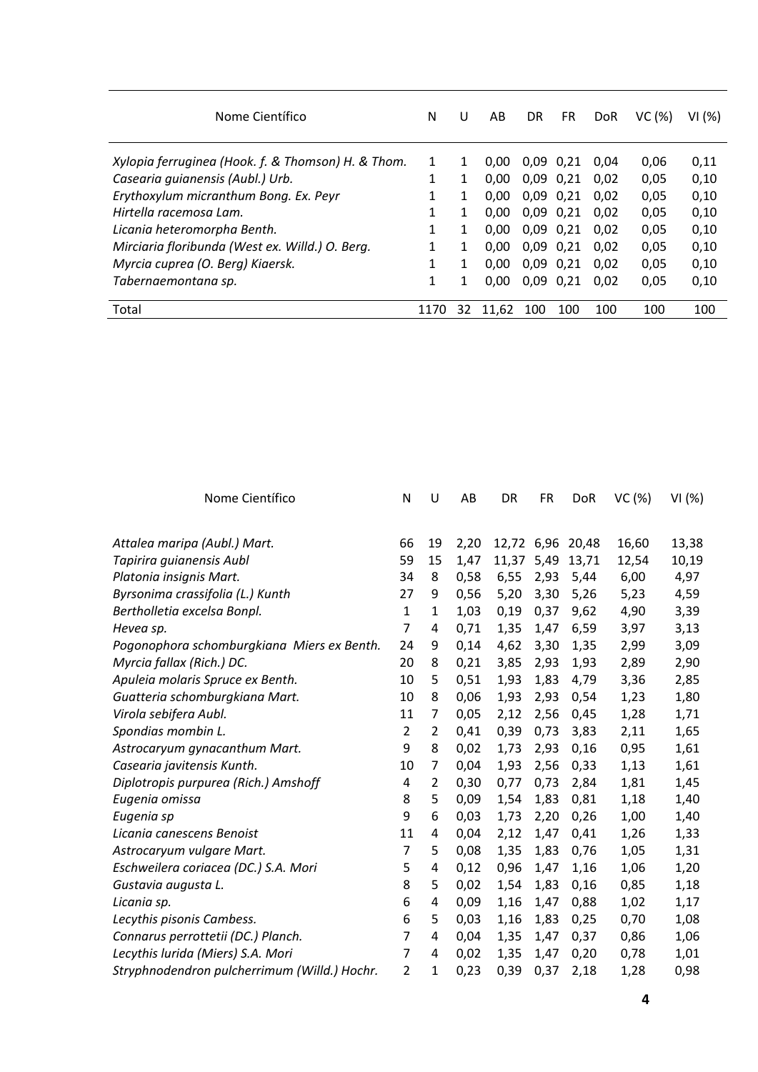| Nome Científico                                    | N            | U  | AB    | DR            | <b>FR</b>     | <b>DoR</b> | VC(%) | VI (%) |
|----------------------------------------------------|--------------|----|-------|---------------|---------------|------------|-------|--------|
| Xylopia ferruginea (Hook. f. & Thomson) H. & Thom. | 1            | 1  | 0.00  |               | $0.09$ $0.21$ | 0.04       | 0,06  | 0,11   |
| Casearia quianensis (Aubl.) Urb.                   | 1            |    | 0,00  |               | $0.09$ $0.21$ | 0.02       | 0,05  | 0,10   |
| Erythoxylum micranthum Bong. Ex. Peyr              | $\mathbf{1}$ |    | 0.00  |               | $0.09$ $0.21$ | 0.02       | 0,05  | 0,10   |
| Hirtella racemosa Lam.                             | $\mathbf{1}$ | 1  | 0.00  |               | $0,09$ $0,21$ | 0.02       | 0,05  | 0,10   |
| Licania heteromorpha Benth.                        | 1            |    | 0.00  |               | $0.09$ $0.21$ | 0.02       | 0,05  | 0,10   |
| Mirciaria floribunda (West ex. Willd.) O. Berg.    | 1            |    | 0.00  |               | $0.09$ $0.21$ | 0.02       | 0,05  | 0,10   |
| Myrcia cuprea (O. Berg) Kiaersk.                   | 1            |    | 0.00  |               | $0.09$ $0.21$ | 0.02       | 0,05  | 0,10   |
| Tabernaemontana sp.                                | 1            |    | 0.00  | $0,09$ $0,21$ |               | 0.02       | 0,05  | 0,10   |
| Total                                              | 1170         | 32 | 11.62 | 100           | 100           | 100        | 100   | 100    |

| Nome Científico                              | N              | U              | AB   | DR         | FR   | <b>DoR</b> | VC(%) | VI (%) |
|----------------------------------------------|----------------|----------------|------|------------|------|------------|-------|--------|
| Attalea maripa (Aubl.) Mart.                 | 66             | 19             | 2,20 | 12,72 6,96 |      | 20,48      | 16,60 | 13,38  |
| Tapirira guianensis Aubl                     | 59             | 15             | 1,47 | 11,37      | 5,49 | 13,71      | 12,54 | 10,19  |
| Platonia insignis Mart.                      | 34             | 8              | 0,58 | 6,55       | 2,93 | 5,44       | 6,00  | 4,97   |
| Byrsonima crassifolia (L.) Kunth             | 27             | 9              | 0,56 | 5,20       | 3,30 | 5,26       | 5,23  | 4,59   |
| Bertholletia excelsa Bonpl.                  | $\mathbf{1}$   | $\mathbf 1$    | 1,03 | 0,19       | 0,37 | 9,62       | 4,90  | 3,39   |
| Hevea sp.                                    | $\overline{7}$ | 4              | 0,71 | 1,35       | 1,47 | 6,59       | 3,97  | 3,13   |
| Pogonophora schomburgkiana Miers ex Benth.   | 24             | 9              | 0,14 | 4,62       | 3,30 | 1,35       | 2,99  | 3,09   |
| Myrcia fallax (Rich.) DC.                    | 20             | 8              | 0,21 | 3,85       | 2,93 | 1,93       | 2,89  | 2,90   |
| Apuleia molaris Spruce ex Benth.             | 10             | 5              | 0,51 | 1,93       | 1,83 | 4,79       | 3,36  | 2,85   |
| Guatteria schomburgkiana Mart.               | 10             | 8              | 0,06 | 1,93       | 2,93 | 0,54       | 1,23  | 1,80   |
| Virola sebifera Aubl.                        | 11             | 7              | 0,05 | 2,12       | 2,56 | 0,45       | 1,28  | 1,71   |
| Spondias mombin L.                           | $\overline{2}$ | $\overline{2}$ | 0,41 | 0,39       | 0,73 | 3,83       | 2,11  | 1,65   |
| Astrocaryum gynacanthum Mart.                | 9              | 8              | 0,02 | 1,73       | 2,93 | 0,16       | 0,95  | 1,61   |
| Casearia javitensis Kunth.                   | 10             | 7              | 0,04 | 1,93       | 2,56 | 0,33       | 1,13  | 1,61   |
| Diplotropis purpurea (Rich.) Amshoff         | 4              | 2              | 0,30 | 0,77       | 0,73 | 2,84       | 1,81  | 1,45   |
| Eugenia omissa                               | 8              | 5              | 0,09 | 1,54       | 1,83 | 0,81       | 1,18  | 1,40   |
| Eugenia sp                                   | 9              | 6              | 0,03 | 1,73       | 2,20 | 0,26       | 1,00  | 1,40   |
| Licania canescens Benoist                    | 11             | 4              | 0,04 | 2,12       | 1,47 | 0,41       | 1,26  | 1,33   |
| Astrocaryum vulgare Mart.                    | $\overline{7}$ | 5              | 0,08 | 1,35       | 1,83 | 0,76       | 1,05  | 1,31   |
| Eschweilera coriacea (DC.) S.A. Mori         | 5              | 4              | 0,12 | 0,96       | 1,47 | 1,16       | 1,06  | 1,20   |
| Gustavia augusta L.                          | 8              | 5              | 0,02 | 1,54       | 1,83 | 0,16       | 0,85  | 1,18   |
| Licania sp.                                  | 6              | 4              | 0,09 | 1,16       | 1,47 | 0,88       | 1,02  | 1,17   |
| Lecythis pisonis Cambess.                    | 6              | 5              | 0,03 | 1,16       | 1,83 | 0,25       | 0,70  | 1,08   |
| Connarus perrottetii (DC.) Planch.           | $\overline{7}$ | 4              | 0,04 | 1,35       | 1,47 | 0,37       | 0,86  | 1,06   |
| Lecythis lurida (Miers) S.A. Mori            | $\overline{7}$ | 4              | 0,02 | 1,35       | 1,47 | 0,20       | 0,78  | 1,01   |
| Stryphnodendron pulcherrimum (Willd.) Hochr. | $\overline{2}$ | $\mathbf{1}$   | 0,23 | 0,39       | 0,37 | 2,18       | 1,28  | 0,98   |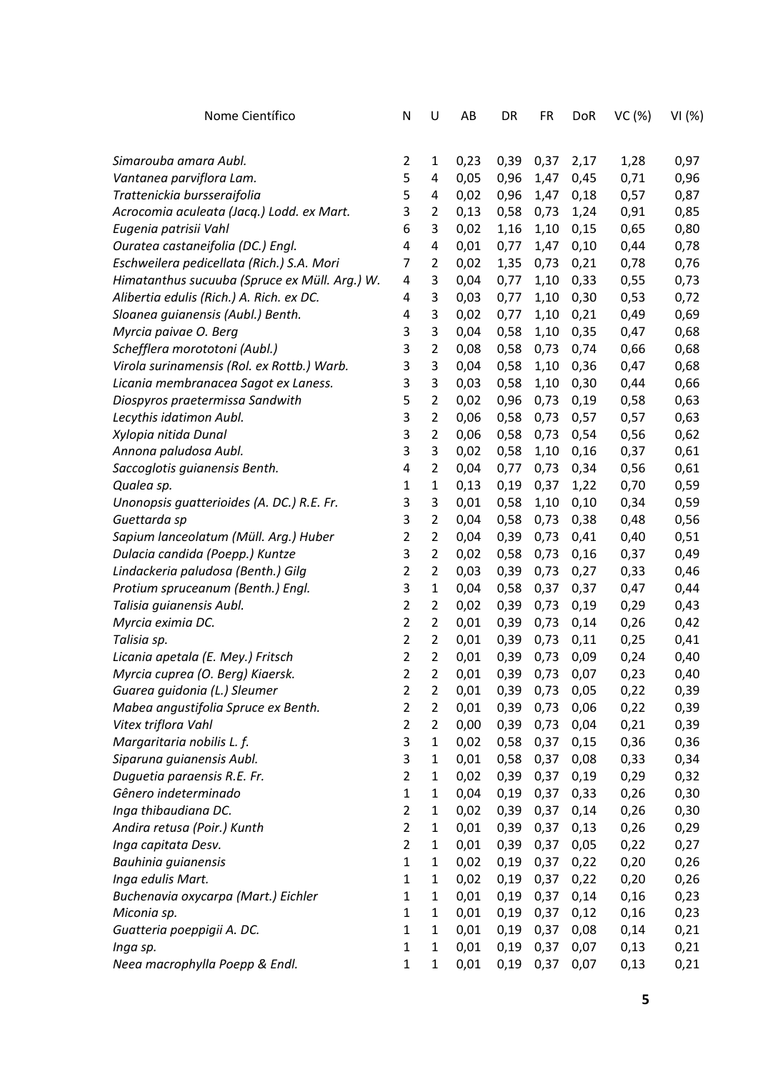| Nome Científico                               | N              | U              | AB   | DR   | FR   | <b>DoR</b> | VC(%) | VI(%) |
|-----------------------------------------------|----------------|----------------|------|------|------|------------|-------|-------|
|                                               |                |                |      |      |      |            |       |       |
| Simarouba amara Aubl.                         | $\overline{2}$ | $\mathbf{1}$   | 0,23 | 0,39 | 0,37 | 2,17       | 1,28  | 0,97  |
| Vantanea parviflora Lam.                      | 5              | 4              | 0,05 | 0,96 | 1,47 | 0,45       | 0,71  | 0,96  |
| Trattenickia bursseraifolia                   | 5              | 4              | 0,02 | 0,96 | 1,47 | 0,18       | 0,57  | 0,87  |
| Acrocomia aculeata (Jacq.) Lodd. ex Mart.     | 3              | $\overline{2}$ | 0,13 | 0,58 | 0,73 | 1,24       | 0,91  | 0,85  |
| Eugenia patrisii Vahl                         | 6              | 3              | 0,02 | 1,16 | 1,10 | 0,15       | 0,65  | 0,80  |
| Ouratea castaneifolia (DC.) Engl.             | 4              | 4              | 0,01 | 0,77 | 1,47 | 0,10       | 0,44  | 0,78  |
| Eschweilera pedicellata (Rich.) S.A. Mori     | 7              | 2              | 0,02 | 1,35 | 0,73 | 0,21       | 0,78  | 0,76  |
| Himatanthus sucuuba (Spruce ex Müll. Arg.) W. | 4              | 3              | 0,04 | 0,77 | 1,10 | 0,33       | 0,55  | 0,73  |
| Alibertia edulis (Rich.) A. Rich. ex DC.      | 4              | 3              | 0,03 | 0,77 | 1,10 | 0,30       | 0,53  | 0,72  |
| Sloanea guianensis (Aubl.) Benth.             | 4              | 3              | 0,02 | 0,77 | 1,10 | 0,21       | 0,49  | 0,69  |
| Myrcia paivae O. Berg                         | 3              | 3              | 0,04 | 0,58 | 1,10 | 0,35       | 0,47  | 0,68  |
| Schefflera morototoni (Aubl.)                 | 3              | $\overline{2}$ | 0,08 | 0,58 | 0,73 | 0,74       | 0,66  | 0,68  |
| Virola surinamensis (Rol. ex Rottb.) Warb.    | 3              | 3              | 0,04 | 0,58 | 1,10 | 0,36       | 0,47  | 0,68  |
| Licania membranacea Sagot ex Laness.          | 3              | 3              | 0,03 | 0,58 | 1,10 | 0,30       | 0,44  | 0,66  |
| Diospyros praetermissa Sandwith               | 5              | $\overline{2}$ | 0,02 | 0,96 | 0,73 | 0,19       | 0,58  | 0,63  |
| Lecythis idatimon Aubl.                       | 3              | $\overline{2}$ | 0,06 | 0,58 | 0,73 | 0,57       | 0,57  | 0,63  |
| Xylopia nitida Dunal                          | 3              | $\overline{2}$ | 0,06 | 0,58 | 0,73 | 0,54       | 0,56  | 0,62  |
|                                               | 3              | 3              | 0,02 |      |      |            | 0,37  |       |
| Annona paludosa Aubl.                         | 4              | $\overline{2}$ |      | 0,58 | 1,10 | 0,16       |       | 0,61  |
| Saccoglotis guianensis Benth.                 |                |                | 0,04 | 0,77 | 0,73 | 0,34       | 0,56  | 0,61  |
| Qualea sp.                                    | $\mathbf{1}$   | $\mathbf{1}$   | 0,13 | 0,19 | 0,37 | 1,22       | 0,70  | 0,59  |
| Unonopsis guatterioides (A. DC.) R.E. Fr.     | 3              | 3              | 0,01 | 0,58 | 1,10 | 0,10       | 0,34  | 0,59  |
| Guettarda sp                                  | 3              | $\overline{2}$ | 0,04 | 0,58 | 0,73 | 0,38       | 0,48  | 0,56  |
| Sapium lanceolatum (Müll. Arg.) Huber         | $\overline{2}$ | $\overline{2}$ | 0,04 | 0,39 | 0,73 | 0,41       | 0,40  | 0,51  |
| Dulacia candida (Poepp.) Kuntze               | 3              | $\overline{2}$ | 0,02 | 0,58 | 0,73 | 0,16       | 0,37  | 0,49  |
| Lindackeria paludosa (Benth.) Gilg            | $\overline{2}$ | $\overline{2}$ | 0,03 | 0,39 | 0,73 | 0,27       | 0,33  | 0,46  |
| Protium spruceanum (Benth.) Engl.             | 3              | $\mathbf 1$    | 0,04 | 0,58 | 0,37 | 0,37       | 0,47  | 0,44  |
| Talisia guianensis Aubl.                      | $\overline{2}$ | $\overline{2}$ | 0,02 | 0,39 | 0,73 | 0,19       | 0,29  | 0,43  |
| Myrcia eximia DC.                             | $\overline{2}$ | $\overline{2}$ | 0,01 | 0,39 | 0,73 | 0,14       | 0,26  | 0,42  |
| Talisia sp.                                   | $\overline{2}$ | $\overline{2}$ | 0,01 | 0,39 | 0,73 | 0,11       | 0,25  | 0,41  |
| Licania apetala (E. Mey.) Fritsch             | $\overline{2}$ | $\overline{2}$ | 0,01 | 0,39 | 0,73 | 0,09       | 0,24  | 0,40  |
| Myrcia cuprea (O. Berg) Kiaersk.              | $\overline{2}$ | 2              | 0,01 | 0,39 | 0,73 | 0,07       | 0,23  | 0,40  |
| Guarea guidonia (L.) Sleumer                  | 2              | 2              | 0,01 | 0,39 | 0,73 | 0,05       | 0,22  | 0,39  |
| Mabea angustifolia Spruce ex Benth.           | $\overline{2}$ | 2              | 0,01 | 0,39 | 0,73 | 0,06       | 0,22  | 0,39  |
| Vitex triflora Vahl                           | $\overline{2}$ | $\overline{2}$ | 0,00 | 0,39 | 0,73 | 0,04       | 0,21  | 0,39  |
| Margaritaria nobilis L. f.                    | 3              | $\mathbf{1}$   | 0,02 | 0,58 | 0,37 | 0,15       | 0,36  | 0,36  |
| Siparuna guianensis Aubl.                     | 3              | $\mathbf{1}$   | 0,01 | 0,58 | 0,37 | 0,08       | 0,33  | 0,34  |
| Duguetia paraensis R.E. Fr.                   | $\overline{2}$ | $\mathbf{1}$   | 0,02 | 0,39 | 0,37 | 0,19       | 0,29  | 0,32  |
| Gênero indeterminado                          | $\mathbf{1}$   | $\mathbf{1}$   | 0,04 | 0,19 | 0,37 | 0,33       | 0,26  | 0,30  |
| Inga thibaudiana DC.                          | $\overline{2}$ | $\mathbf{1}$   | 0,02 | 0,39 | 0,37 | 0,14       | 0,26  | 0,30  |
| Andira retusa (Poir.) Kunth                   | $\overline{2}$ | $\mathbf{1}$   | 0,01 | 0,39 | 0,37 | 0,13       | 0,26  | 0,29  |
| Inga capitata Desv.                           | $\overline{2}$ | $\mathbf{1}$   | 0,01 | 0,39 | 0,37 | 0,05       | 0,22  | 0,27  |
| Bauhinia guianensis                           | $\mathbf{1}$   | $\mathbf{1}$   | 0,02 | 0,19 | 0,37 | 0,22       | 0,20  | 0,26  |
| Inga edulis Mart.                             | $\mathbf{1}$   | $\mathbf{1}$   | 0,02 | 0,19 | 0,37 | 0,22       | 0,20  | 0,26  |
| Buchenavia oxycarpa (Mart.) Eichler           | $\mathbf{1}$   | $\mathbf{1}$   | 0,01 | 0,19 | 0,37 | 0,14       | 0,16  | 0,23  |
| Miconia sp.                                   | $\mathbf{1}$   | $\mathbf{1}$   | 0,01 | 0,19 | 0,37 | 0,12       | 0,16  | 0,23  |
| Guatteria poeppigii A. DC.                    | $\mathbf{1}$   | $\mathbf{1}$   | 0,01 | 0,19 | 0,37 | 0,08       | 0,14  | 0,21  |
| Inga sp.                                      | $\mathbf{1}$   | $\mathbf{1}$   | 0,01 | 0,19 | 0,37 | 0,07       | 0,13  | 0,21  |
| Neea macrophylla Poepp & Endl.                | $\mathbf{1}$   | $\mathbf{1}$   | 0,01 | 0,19 | 0,37 | 0,07       | 0,13  | 0,21  |
|                                               |                |                |      |      |      |            |       |       |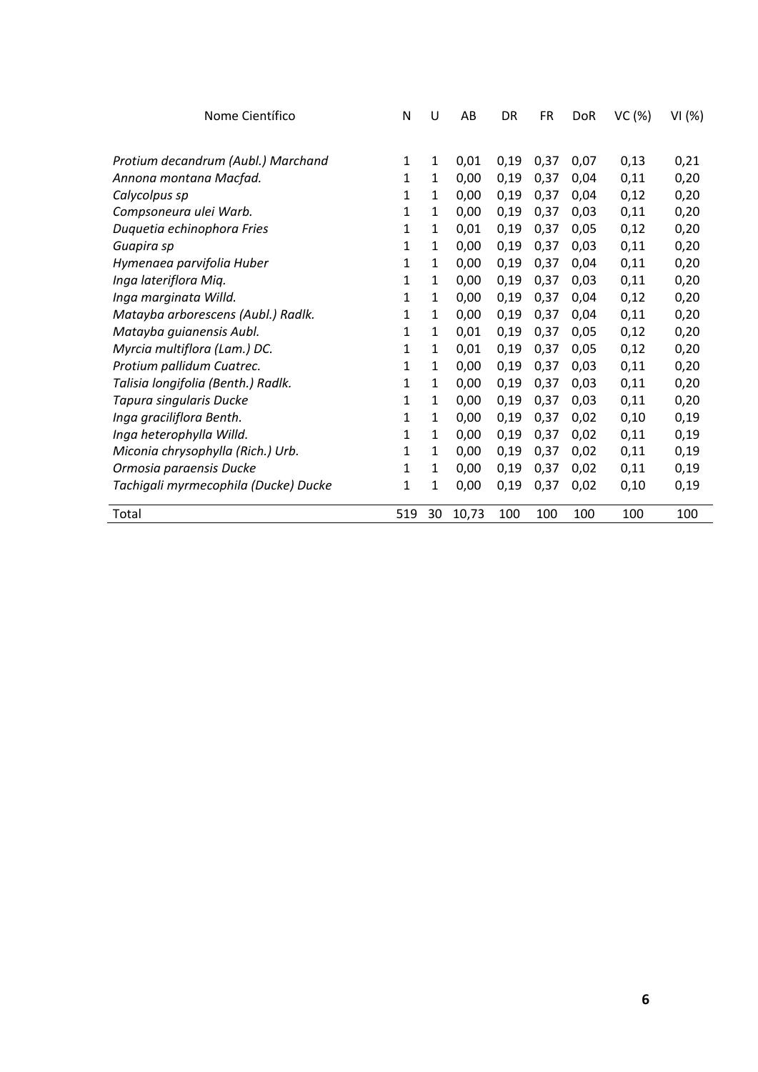| Nome Científico                      | N   | U            | AB    | DR   | <b>FR</b> | <b>DoR</b> | VC (%) | VI(%) |
|--------------------------------------|-----|--------------|-------|------|-----------|------------|--------|-------|
|                                      |     |              |       |      |           |            |        |       |
| Protium decandrum (Aubl.) Marchand   | 1   | 1            | 0,01  | 0,19 | 0,37      | 0,07       | 0,13   | 0,21  |
| Annona montana Macfad.               | 1   | 1            | 0,00  | 0,19 | 0,37      | 0,04       | 0,11   | 0,20  |
| Calycolpus sp                        | 1   | 1            | 0,00  | 0,19 | 0,37      | 0,04       | 0,12   | 0,20  |
| Compsoneura ulei Warb.               | 1   | 1            | 0,00  | 0,19 | 0,37      | 0,03       | 0,11   | 0,20  |
| Duquetia echinophora Fries           | 1   | 1            | 0,01  | 0,19 | 0,37      | 0,05       | 0,12   | 0,20  |
| Guapira sp                           | 1   | 1            | 0,00  | 0,19 | 0,37      | 0,03       | 0,11   | 0,20  |
| Hymenaea parvifolia Huber            | 1   | 1            | 0,00  | 0,19 | 0,37      | 0,04       | 0,11   | 0,20  |
| Inga lateriflora Miq.                | 1   | 1            | 0,00  | 0,19 | 0,37      | 0,03       | 0,11   | 0,20  |
| Inga marginata Willd.                | 1   | 1            | 0,00  | 0,19 | 0,37      | 0,04       | 0,12   | 0,20  |
| Matayba arborescens (Aubl.) Radlk.   | 1   | 1            | 0,00  | 0,19 | 0,37      | 0,04       | 0,11   | 0,20  |
| Matayba guianensis Aubl.             | 1   | 1            | 0,01  | 0,19 | 0,37      | 0,05       | 0,12   | 0,20  |
| Myrcia multiflora (Lam.) DC.         | 1   | 1            | 0,01  | 0,19 | 0,37      | 0,05       | 0,12   | 0,20  |
| Protium pallidum Cuatrec.            | 1   | $\mathbf{1}$ | 0,00  | 0,19 | 0,37      | 0,03       | 0,11   | 0,20  |
| Talisia longifolia (Benth.) Radlk.   | 1   | $\mathbf{1}$ | 0,00  | 0,19 | 0,37      | 0,03       | 0,11   | 0,20  |
| Tapura singularis Ducke              | 1   | 1            | 0,00  | 0,19 | 0,37      | 0,03       | 0,11   | 0,20  |
| Inga graciliflora Benth.             | 1   | 1            | 0,00  | 0,19 | 0,37      | 0,02       | 0,10   | 0,19  |
| Inga heterophylla Willd.             | 1   | 1            | 0,00  | 0,19 | 0,37      | 0,02       | 0,11   | 0,19  |
| Miconia chrysophylla (Rich.) Urb.    | 1   | 1            | 0,00  | 0,19 | 0,37      | 0,02       | 0,11   | 0,19  |
| Ormosia paraensis Ducke              | 1   | 1            | 0,00  | 0,19 | 0,37      | 0,02       | 0,11   | 0,19  |
| Tachigali myrmecophila (Ducke) Ducke | 1   | 1            | 0,00  | 0,19 | 0,37      | 0,02       | 0,10   | 0,19  |
| Total                                | 519 | 30           | 10,73 | 100  | 100       | 100        | 100    | 100   |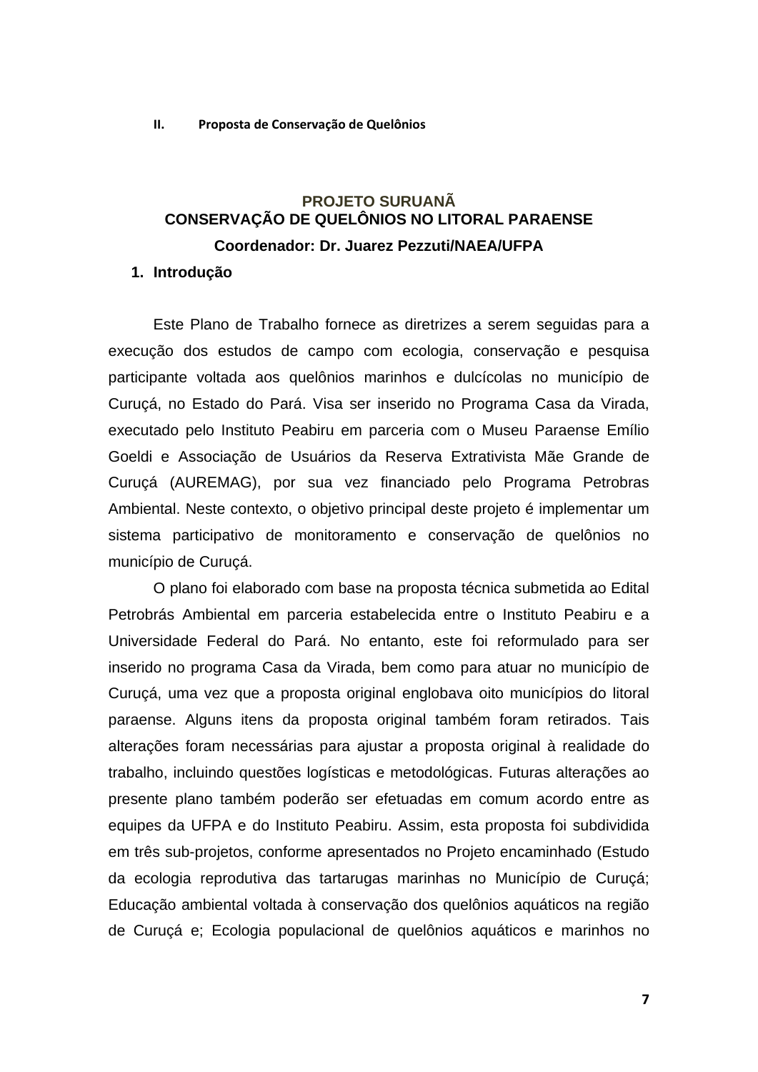**II. Proposta de Conservação de Quelônios** 

### **PROJETO SURUANÃ CONSERVAÇÃO DE QUELÔNIOS NO LITORAL PARAENSE Coordenador: Dr. Juarez Pezzuti/NAEA/UFPA**

#### **1. Introdução**

Este Plano de Trabalho fornece as diretrizes a serem seguidas para a execução dos estudos de campo com ecologia, conservação e pesquisa participante voltada aos quelônios marinhos e dulcícolas no município de Curuçá, no Estado do Pará. Visa ser inserido no Programa Casa da Virada, executado pelo Instituto Peabiru em parceria com o Museu Paraense Emílio Goeldi e Associação de Usuários da Reserva Extrativista Mãe Grande de Curuçá (AUREMAG), por sua vez financiado pelo Programa Petrobras Ambiental. Neste contexto, o objetivo principal deste projeto é implementar um sistema participativo de monitoramento e conservação de quelônios no município de Curuçá.

O plano foi elaborado com base na proposta técnica submetida ao Edital Petrobrás Ambiental em parceria estabelecida entre o Instituto Peabiru e a Universidade Federal do Pará. No entanto, este foi reformulado para ser inserido no programa Casa da Virada, bem como para atuar no município de Curuçá, uma vez que a proposta original englobava oito municípios do litoral paraense. Alguns itens da proposta original também foram retirados. Tais alterações foram necessárias para ajustar a proposta original à realidade do trabalho, incluindo questões logísticas e metodológicas. Futuras alterações ao presente plano também poderão ser efetuadas em comum acordo entre as equipes da UFPA e do Instituto Peabiru. Assim, esta proposta foi subdividida em três sub-projetos, conforme apresentados no Projeto encaminhado (Estudo da ecologia reprodutiva das tartarugas marinhas no Município de Curuçá; Educação ambiental voltada à conservação dos quelônios aquáticos na região de Curuçá e; Ecologia populacional de quelônios aquáticos e marinhos no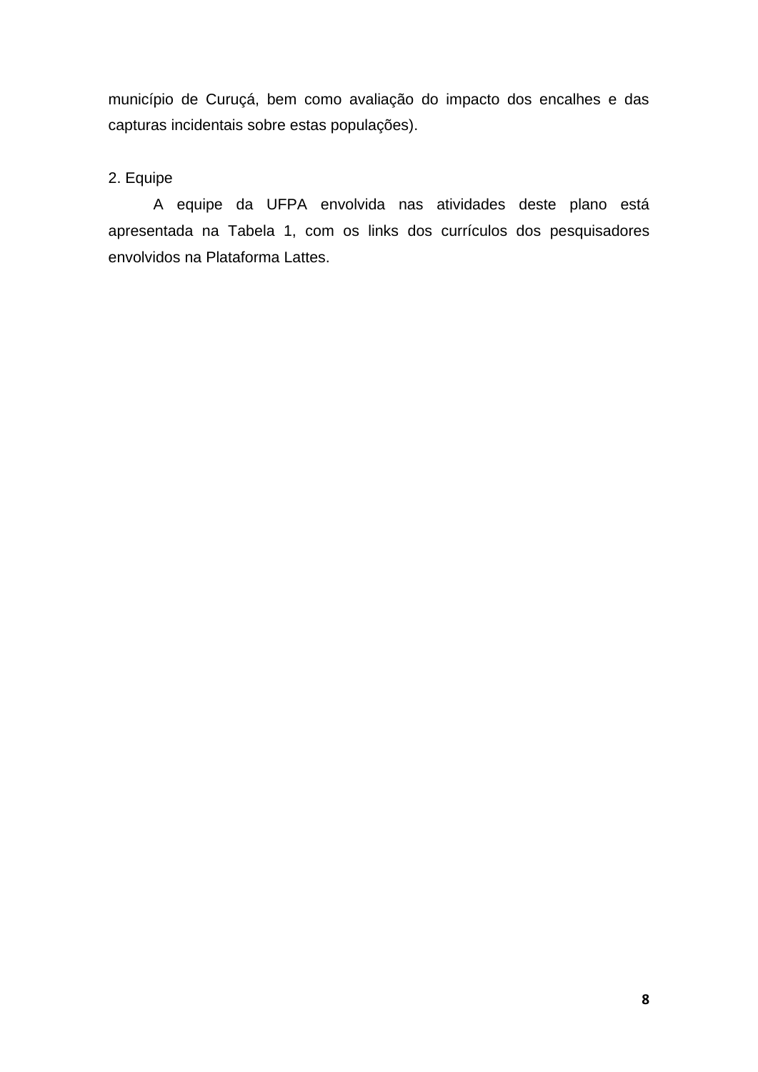município de Curuçá, bem como avaliação do impacto dos encalhes e das capturas incidentais sobre estas populações).

### 2. Equipe

A equipe da UFPA envolvida nas atividades deste plano está apresentada na Tabela 1, com os links dos currículos dos pesquisadores envolvidos na Plataforma Lattes.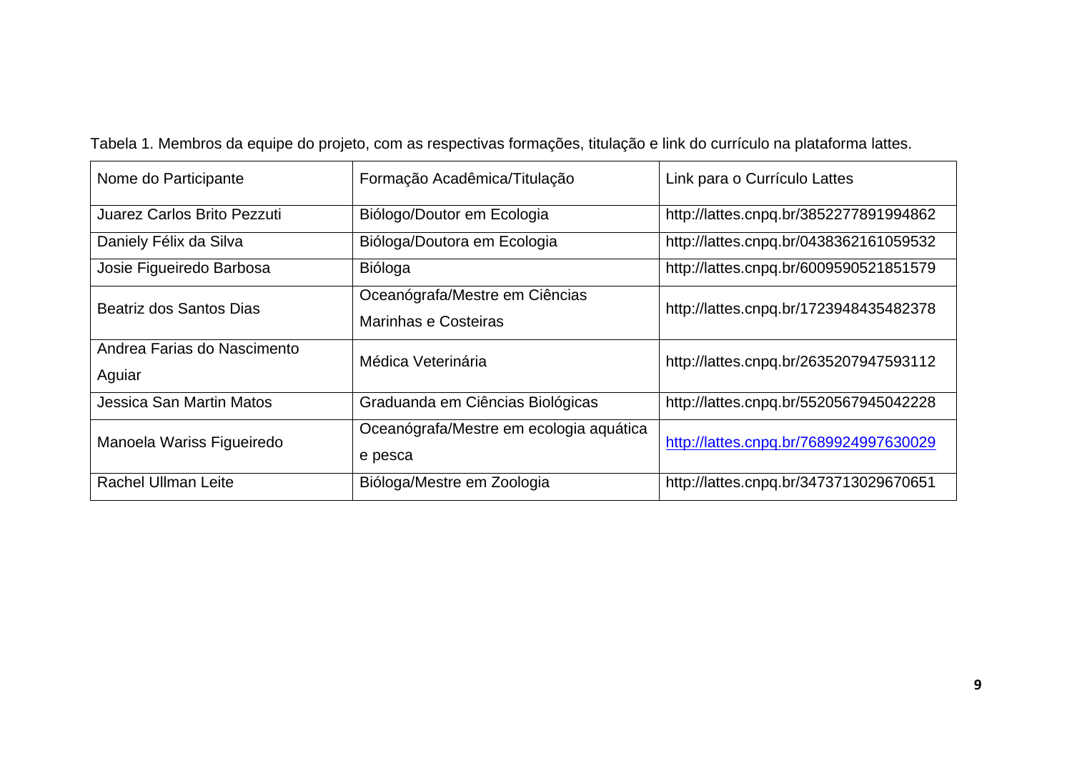| Nome do Participante                  | Formação Acadêmica/Titulação                           | Link para o Currículo Lattes           |
|---------------------------------------|--------------------------------------------------------|----------------------------------------|
| Juarez Carlos Brito Pezzuti           | Biólogo/Doutor em Ecologia                             | http://lattes.cnpq.br/3852277891994862 |
| Daniely Félix da Silva                | Bióloga/Doutora em Ecologia                            | http://lattes.cnpq.br/0438362161059532 |
| Josie Figueiredo Barbosa              | Bióloga                                                | http://lattes.cnpq.br/6009590521851579 |
| Beatriz dos Santos Dias               | Oceanógrafa/Mestre em Ciências<br>Marinhas e Costeiras | http://lattes.cnpq.br/1723948435482378 |
| Andrea Farias do Nascimento<br>Aguiar | Médica Veterinária                                     | http://lattes.cnpq.br/2635207947593112 |
| <b>Jessica San Martin Matos</b>       | Graduanda em Ciências Biológicas                       | http://lattes.cnpq.br/5520567945042228 |
| Manoela Wariss Figueiredo             | Oceanógrafa/Mestre em ecologia aquática<br>e pesca     | http://lattes.cnpq.br/7689924997630029 |
| <b>Rachel Ullman Leite</b>            | Bióloga/Mestre em Zoologia                             | http://lattes.cnpq.br/3473713029670651 |

Tabela 1. Membros da equipe do projeto, com as respectivas formações, titulação e link do currículo na plataforma lattes.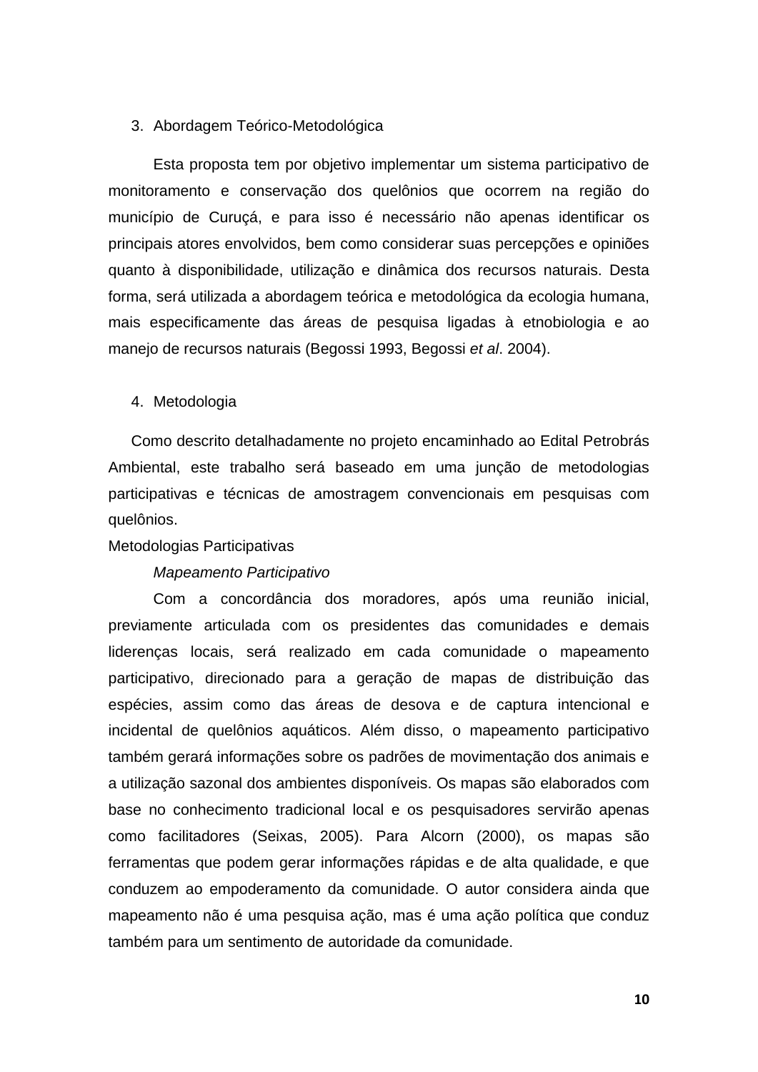#### 3. Abordagem Teórico-Metodológica

Esta proposta tem por objetivo implementar um sistema participativo de monitoramento e conservação dos quelônios que ocorrem na região do município de Curuçá, e para isso é necessário não apenas identificar os principais atores envolvidos, bem como considerar suas percepções e opiniões quanto à disponibilidade, utilização e dinâmica dos recursos naturais. Desta forma, será utilizada a abordagem teórica e metodológica da ecologia humana, mais especificamente das áreas de pesquisa ligadas à etnobiologia e ao manejo de recursos naturais (Begossi 1993, Begossi *et al*. 2004).

#### 4. Metodologia

Como descrito detalhadamente no projeto encaminhado ao Edital Petrobrás Ambiental, este trabalho será baseado em uma junção de metodologias participativas e técnicas de amostragem convencionais em pesquisas com quelônios.

#### Metodologias Participativas

#### *Mapeamento Participativo*

Com a concordância dos moradores, após uma reunião inicial, previamente articulada com os presidentes das comunidades e demais liderenças locais, será realizado em cada comunidade o mapeamento participativo, direcionado para a geração de mapas de distribuição das espécies, assim como das áreas de desova e de captura intencional e incidental de quelônios aquáticos. Além disso, o mapeamento participativo também gerará informações sobre os padrões de movimentação dos animais e a utilização sazonal dos ambientes disponíveis. Os mapas são elaborados com base no conhecimento tradicional local e os pesquisadores servirão apenas como facilitadores (Seixas, 2005). Para Alcorn (2000), os mapas são ferramentas que podem gerar informações rápidas e de alta qualidade, e que conduzem ao empoderamento da comunidade. O autor considera ainda que mapeamento não é uma pesquisa ação, mas é uma ação política que conduz também para um sentimento de autoridade da comunidade.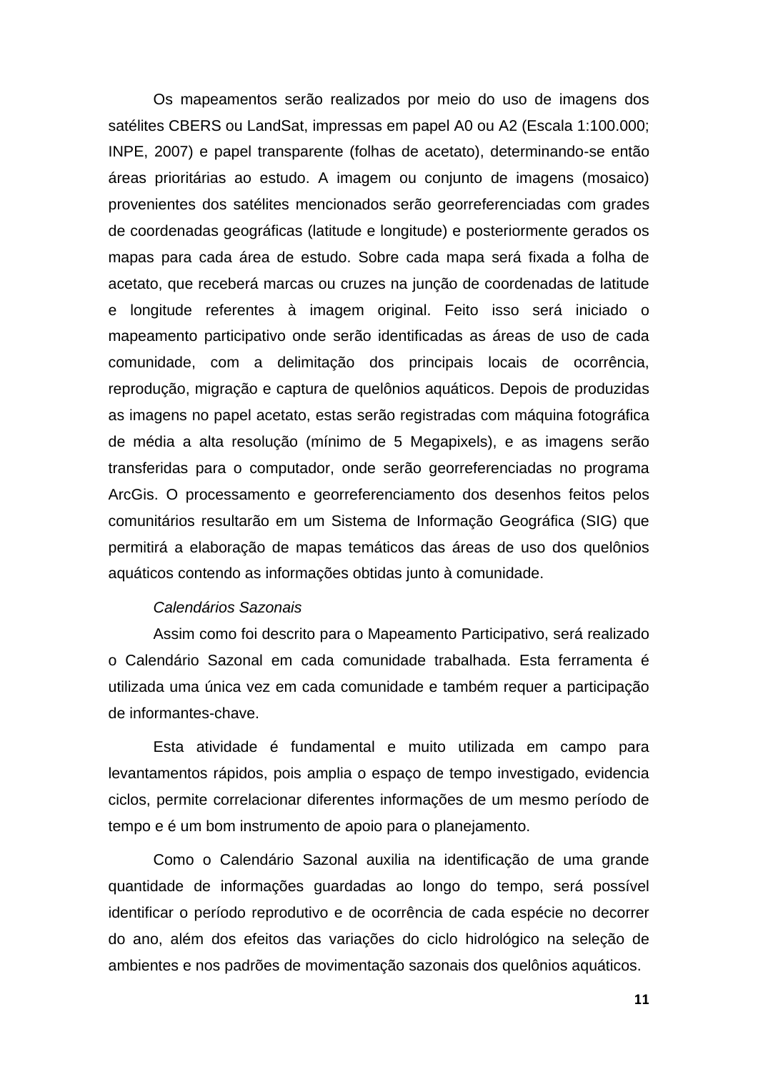Os mapeamentos serão realizados por meio do uso de imagens dos satélites CBERS ou LandSat, impressas em papel A0 ou A2 (Escala 1:100.000; INPE, 2007) e papel transparente (folhas de acetato), determinando-se então áreas prioritárias ao estudo. A imagem ou conjunto de imagens (mosaico) provenientes dos satélites mencionados serão georreferenciadas com grades de coordenadas geográficas (latitude e longitude) e posteriormente gerados os mapas para cada área de estudo. Sobre cada mapa será fixada a folha de acetato, que receberá marcas ou cruzes na junção de coordenadas de latitude e longitude referentes à imagem original. Feito isso será iniciado o mapeamento participativo onde serão identificadas as áreas de uso de cada comunidade, com a delimitação dos principais locais de ocorrência, reprodução, migração e captura de quelônios aquáticos. Depois de produzidas as imagens no papel acetato, estas serão registradas com máquina fotográfica de média a alta resolução (mínimo de 5 Megapixels), e as imagens serão transferidas para o computador, onde serão georreferenciadas no programa ArcGis. O processamento e georreferenciamento dos desenhos feitos pelos comunitários resultarão em um Sistema de Informação Geográfica (SIG) que permitirá a elaboração de mapas temáticos das áreas de uso dos quelônios aquáticos contendo as informações obtidas junto à comunidade.

#### *Calendários Sazonais*

Assim como foi descrito para o Mapeamento Participativo, será realizado o Calendário Sazonal em cada comunidade trabalhada. Esta ferramenta é utilizada uma única vez em cada comunidade e também requer a participação de informantes-chave.

Esta atividade é fundamental e muito utilizada em campo para levantamentos rápidos, pois amplia o espaço de tempo investigado, evidencia ciclos, permite correlacionar diferentes informações de um mesmo período de tempo e é um bom instrumento de apoio para o planejamento.

Como o Calendário Sazonal auxilia na identificação de uma grande quantidade de informações guardadas ao longo do tempo, será possível identificar o período reprodutivo e de ocorrência de cada espécie no decorrer do ano, além dos efeitos das variações do ciclo hidrológico na seleção de ambientes e nos padrões de movimentação sazonais dos quelônios aquáticos.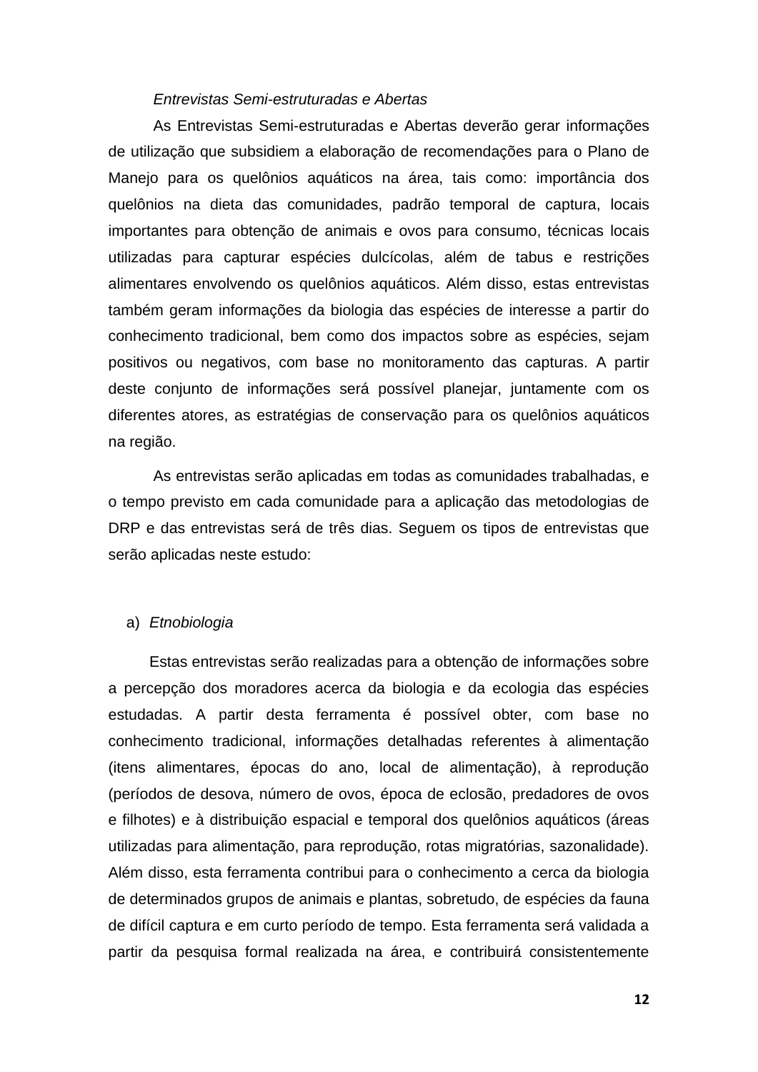#### *Entrevistas Semi-estruturadas e Abertas*

As Entrevistas Semi-estruturadas e Abertas deverão gerar informações de utilização que subsidiem a elaboração de recomendações para o Plano de Manejo para os quelônios aquáticos na área, tais como: importância dos quelônios na dieta das comunidades, padrão temporal de captura, locais importantes para obtenção de animais e ovos para consumo, técnicas locais utilizadas para capturar espécies dulcícolas, além de tabus e restrições alimentares envolvendo os quelônios aquáticos. Além disso, estas entrevistas também geram informações da biologia das espécies de interesse a partir do conhecimento tradicional, bem como dos impactos sobre as espécies, sejam positivos ou negativos, com base no monitoramento das capturas. A partir deste conjunto de informações será possível planejar, juntamente com os diferentes atores, as estratégias de conservação para os quelônios aquáticos na região.

As entrevistas serão aplicadas em todas as comunidades trabalhadas, e o tempo previsto em cada comunidade para a aplicação das metodologias de DRP e das entrevistas será de três dias. Seguem os tipos de entrevistas que serão aplicadas neste estudo:

#### a) *Etnobiologia*

Estas entrevistas serão realizadas para a obtenção de informações sobre a percepção dos moradores acerca da biologia e da ecologia das espécies estudadas. A partir desta ferramenta é possível obter, com base no conhecimento tradicional, informações detalhadas referentes à alimentação (itens alimentares, épocas do ano, local de alimentação), à reprodução (períodos de desova, número de ovos, época de eclosão, predadores de ovos e filhotes) e à distribuição espacial e temporal dos quelônios aquáticos (áreas utilizadas para alimentação, para reprodução, rotas migratórias, sazonalidade). Além disso, esta ferramenta contribui para o conhecimento a cerca da biologia de determinados grupos de animais e plantas, sobretudo, de espécies da fauna de difícil captura e em curto período de tempo. Esta ferramenta será validada a partir da pesquisa formal realizada na área, e contribuirá consistentemente

**12**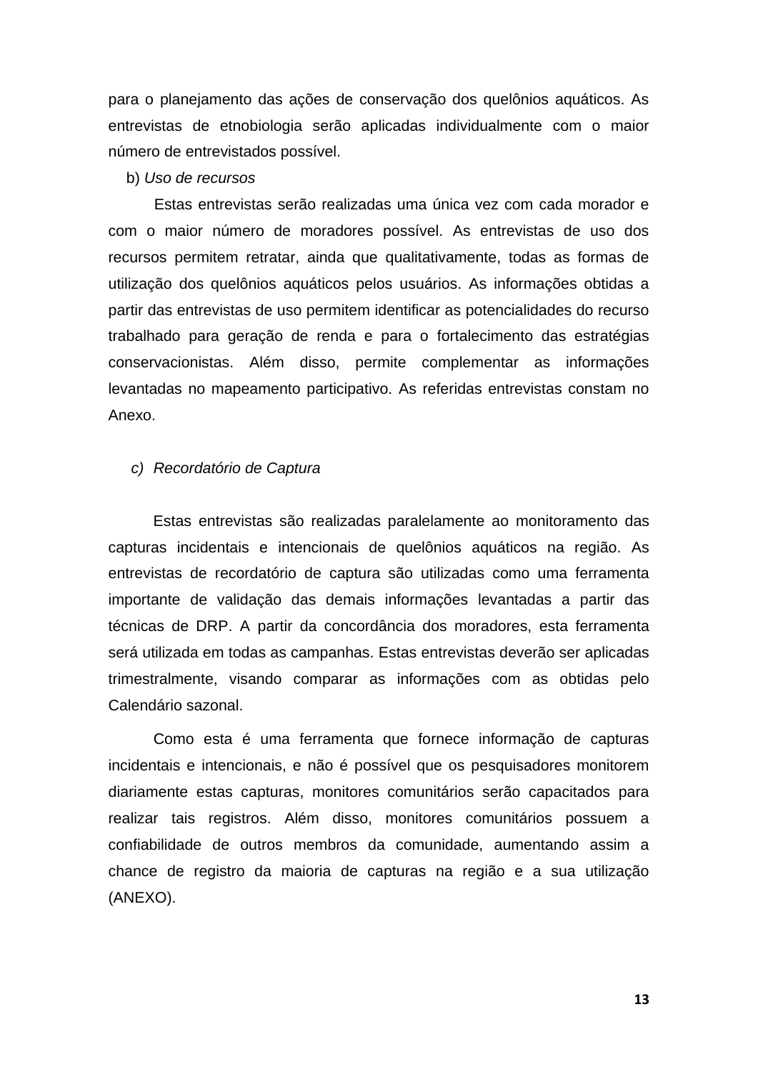para o planejamento das ações de conservação dos quelônios aquáticos. As entrevistas de etnobiologia serão aplicadas individualmente com o maior número de entrevistados possível.

#### b) *Uso de recursos*

Estas entrevistas serão realizadas uma única vez com cada morador e com o maior número de moradores possível. As entrevistas de uso dos recursos permitem retratar, ainda que qualitativamente, todas as formas de utilização dos quelônios aquáticos pelos usuários. As informações obtidas a partir das entrevistas de uso permitem identificar as potencialidades do recurso trabalhado para geração de renda e para o fortalecimento das estratégias conservacionistas. Além disso, permite complementar as informações levantadas no mapeamento participativo. As referidas entrevistas constam no Anexo.

#### *c) Recordatório de Captura*

Estas entrevistas são realizadas paralelamente ao monitoramento das capturas incidentais e intencionais de quelônios aquáticos na região. As entrevistas de recordatório de captura são utilizadas como uma ferramenta importante de validação das demais informações levantadas a partir das técnicas de DRP. A partir da concordância dos moradores, esta ferramenta será utilizada em todas as campanhas. Estas entrevistas deverão ser aplicadas trimestralmente, visando comparar as informações com as obtidas pelo Calendário sazonal.

Como esta é uma ferramenta que fornece informação de capturas incidentais e intencionais, e não é possível que os pesquisadores monitorem diariamente estas capturas, monitores comunitários serão capacitados para realizar tais registros. Além disso, monitores comunitários possuem a confiabilidade de outros membros da comunidade, aumentando assim a chance de registro da maioria de capturas na região e a sua utilização (ANEXO).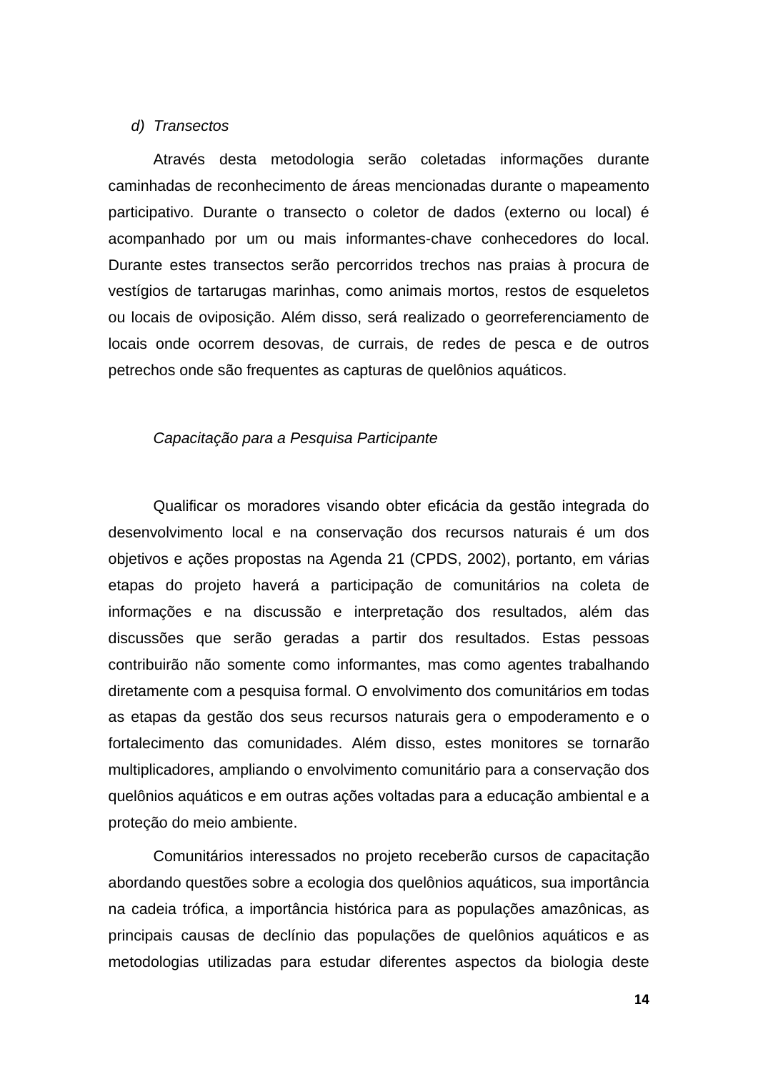#### *d) Transectos*

Através desta metodologia serão coletadas informações durante caminhadas de reconhecimento de áreas mencionadas durante o mapeamento participativo. Durante o transecto o coletor de dados (externo ou local) é acompanhado por um ou mais informantes-chave conhecedores do local. Durante estes transectos serão percorridos trechos nas praias à procura de vestígios de tartarugas marinhas, como animais mortos, restos de esqueletos ou locais de oviposição. Além disso, será realizado o georreferenciamento de locais onde ocorrem desovas, de currais, de redes de pesca e de outros petrechos onde são frequentes as capturas de quelônios aquáticos.

#### *Capacitação para a Pesquisa Participante*

Qualificar os moradores visando obter eficácia da gestão integrada do desenvolvimento local e na conservação dos recursos naturais é um dos objetivos e ações propostas na Agenda 21 (CPDS, 2002), portanto, em várias etapas do projeto haverá a participação de comunitários na coleta de informações e na discussão e interpretação dos resultados, além das discussões que serão geradas a partir dos resultados. Estas pessoas contribuirão não somente como informantes, mas como agentes trabalhando diretamente com a pesquisa formal. O envolvimento dos comunitários em todas as etapas da gestão dos seus recursos naturais gera o empoderamento e o fortalecimento das comunidades. Além disso, estes monitores se tornarão multiplicadores, ampliando o envolvimento comunitário para a conservação dos quelônios aquáticos e em outras ações voltadas para a educação ambiental e a proteção do meio ambiente.

Comunitários interessados no projeto receberão cursos de capacitação abordando questões sobre a ecologia dos quelônios aquáticos, sua importância na cadeia trófica, a importância histórica para as populações amazônicas, as principais causas de declínio das populações de quelônios aquáticos e as metodologias utilizadas para estudar diferentes aspectos da biologia deste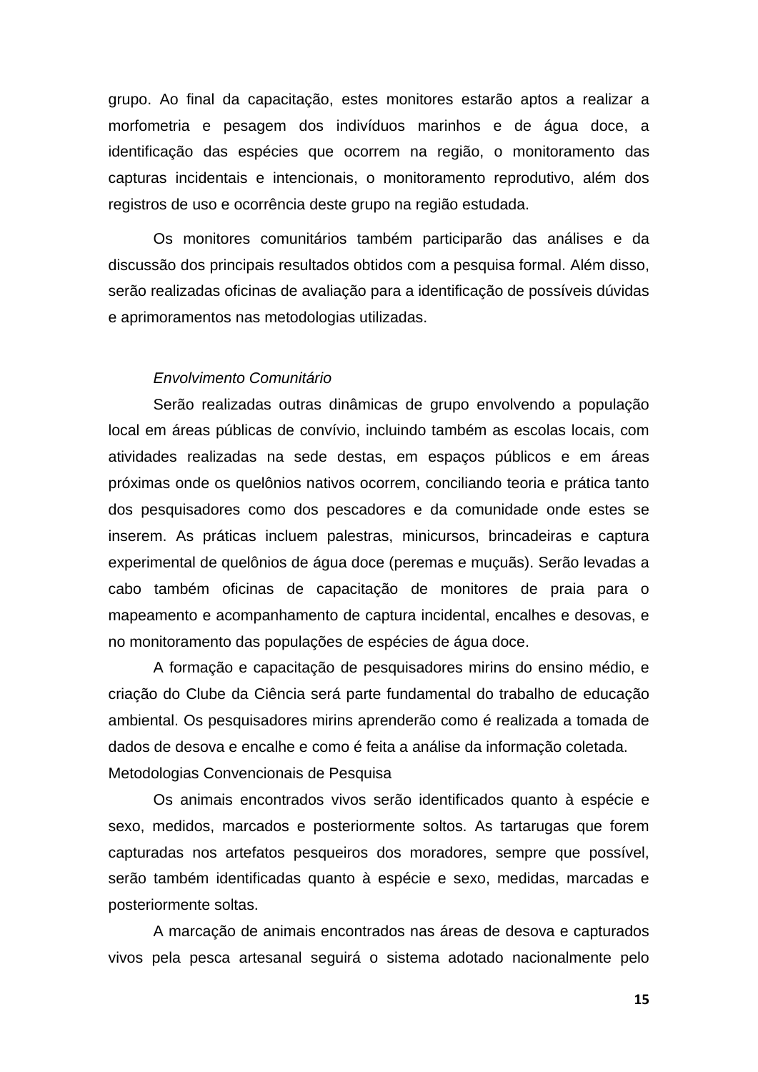grupo. Ao final da capacitação, estes monitores estarão aptos a realizar a morfometria e pesagem dos indivíduos marinhos e de água doce, a identificação das espécies que ocorrem na região, o monitoramento das capturas incidentais e intencionais, o monitoramento reprodutivo, além dos registros de uso e ocorrência deste grupo na região estudada.

Os monitores comunitários também participarão das análises e da discussão dos principais resultados obtidos com a pesquisa formal. Além disso, serão realizadas oficinas de avaliação para a identificação de possíveis dúvidas e aprimoramentos nas metodologias utilizadas.

#### *Envolvimento Comunitário*

Serão realizadas outras dinâmicas de grupo envolvendo a população local em áreas públicas de convívio, incluindo também as escolas locais, com atividades realizadas na sede destas, em espaços públicos e em áreas próximas onde os quelônios nativos ocorrem, conciliando teoria e prática tanto dos pesquisadores como dos pescadores e da comunidade onde estes se inserem. As práticas incluem palestras, minicursos, brincadeiras e captura experimental de quelônios de água doce (peremas e muçuãs). Serão levadas a cabo também oficinas de capacitação de monitores de praia para o mapeamento e acompanhamento de captura incidental, encalhes e desovas, e no monitoramento das populações de espécies de água doce.

A formação e capacitação de pesquisadores mirins do ensino médio, e criação do Clube da Ciência será parte fundamental do trabalho de educação ambiental. Os pesquisadores mirins aprenderão como é realizada a tomada de dados de desova e encalhe e como é feita a análise da informação coletada. Metodologias Convencionais de Pesquisa

Os animais encontrados vivos serão identificados quanto à espécie e sexo, medidos, marcados e posteriormente soltos. As tartarugas que forem capturadas nos artefatos pesqueiros dos moradores, sempre que possível, serão também identificadas quanto à espécie e sexo, medidas, marcadas e posteriormente soltas.

A marcação de animais encontrados nas áreas de desova e capturados vivos pela pesca artesanal seguirá o sistema adotado nacionalmente pelo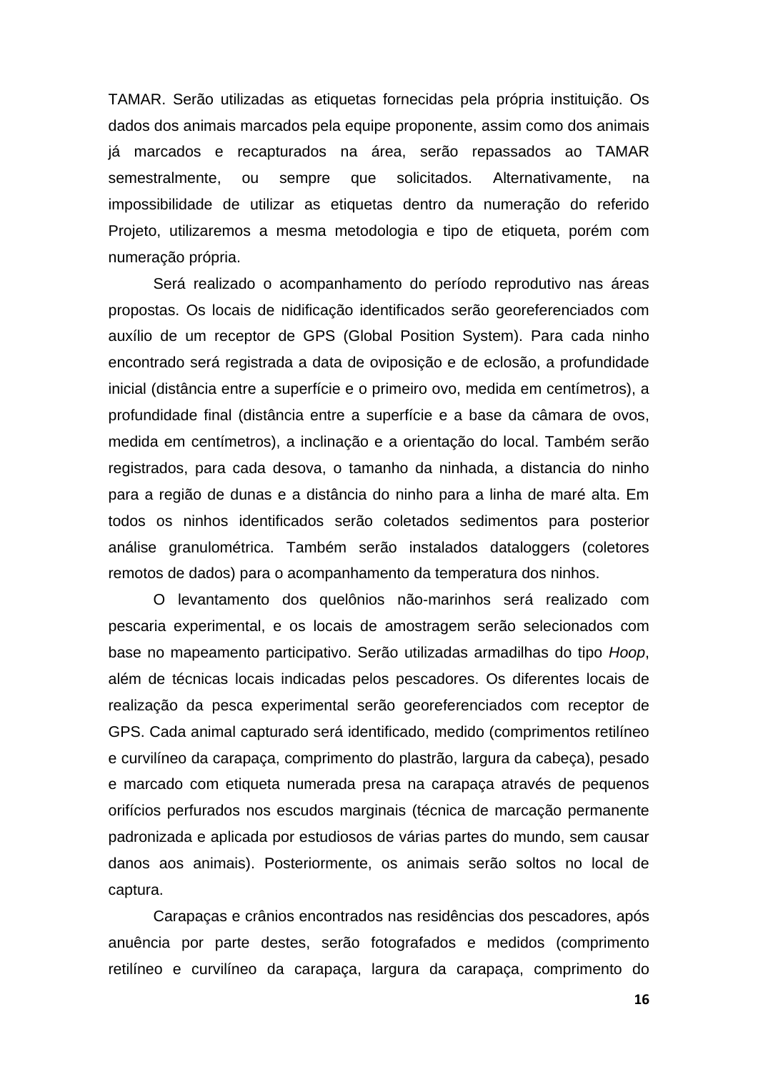TAMAR. Serão utilizadas as etiquetas fornecidas pela própria instituição. Os dados dos animais marcados pela equipe proponente, assim como dos animais já marcados e recapturados na área, serão repassados ao TAMAR semestralmente, ou sempre que solicitados. Alternativamente, na impossibilidade de utilizar as etiquetas dentro da numeração do referido Projeto, utilizaremos a mesma metodologia e tipo de etiqueta, porém com numeração própria.

Será realizado o acompanhamento do período reprodutivo nas áreas propostas. Os locais de nidificação identificados serão georeferenciados com auxílio de um receptor de GPS (Global Position System). Para cada ninho encontrado será registrada a data de oviposição e de eclosão, a profundidade inicial (distância entre a superfície e o primeiro ovo, medida em centímetros), a profundidade final (distância entre a superfície e a base da câmara de ovos, medida em centímetros), a inclinação e a orientação do local. Também serão registrados, para cada desova, o tamanho da ninhada, a distancia do ninho para a região de dunas e a distância do ninho para a linha de maré alta. Em todos os ninhos identificados serão coletados sedimentos para posterior análise granulométrica. Também serão instalados dataloggers (coletores remotos de dados) para o acompanhamento da temperatura dos ninhos.

O levantamento dos quelônios não-marinhos será realizado com pescaria experimental, e os locais de amostragem serão selecionados com base no mapeamento participativo. Serão utilizadas armadilhas do tipo *Hoop*, além de técnicas locais indicadas pelos pescadores. Os diferentes locais de realização da pesca experimental serão georeferenciados com receptor de GPS. Cada animal capturado será identificado, medido (comprimentos retilíneo e curvilíneo da carapaça, comprimento do plastrão, largura da cabeça), pesado e marcado com etiqueta numerada presa na carapaça através de pequenos orifícios perfurados nos escudos marginais (técnica de marcação permanente padronizada e aplicada por estudiosos de várias partes do mundo, sem causar danos aos animais). Posteriormente, os animais serão soltos no local de captura.

Carapaças e crânios encontrados nas residências dos pescadores, após anuência por parte destes, serão fotografados e medidos (comprimento retilíneo e curvilíneo da carapaça, largura da carapaça, comprimento do

**16**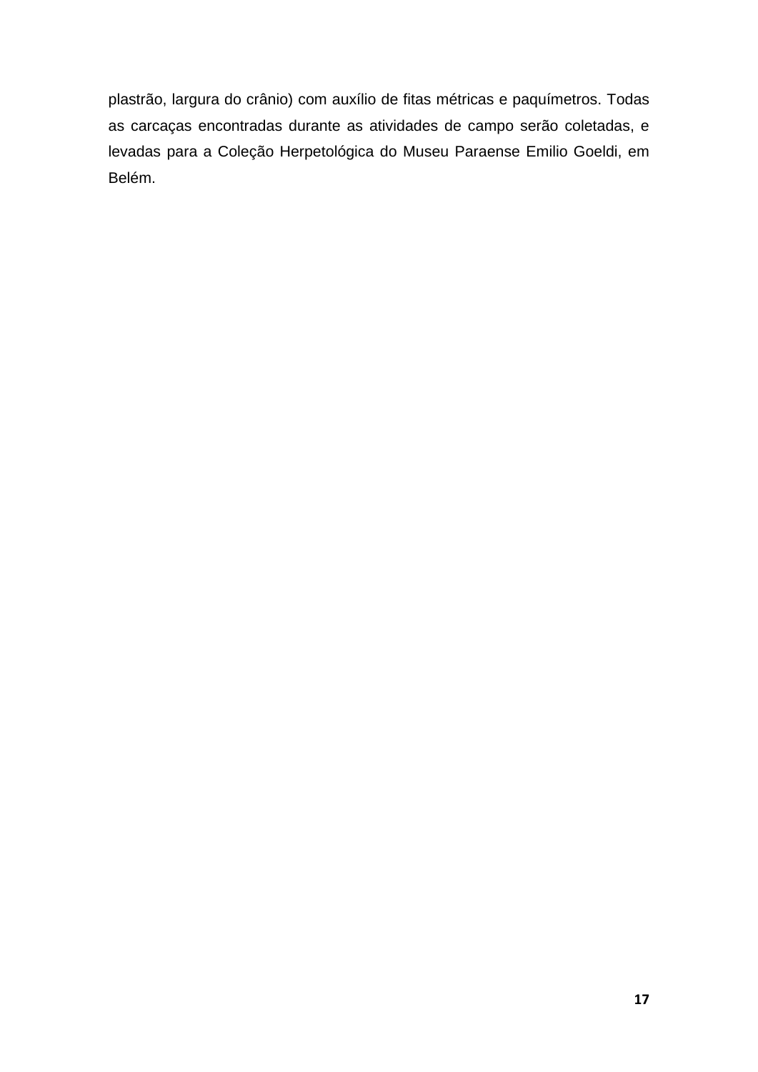plastrão, largura do crânio) com auxílio de fitas métricas e paquímetros. Todas as carcaças encontradas durante as atividades de campo serão coletadas, e levadas para a Coleção Herpetológica do Museu Paraense Emilio Goeldi, em Belém.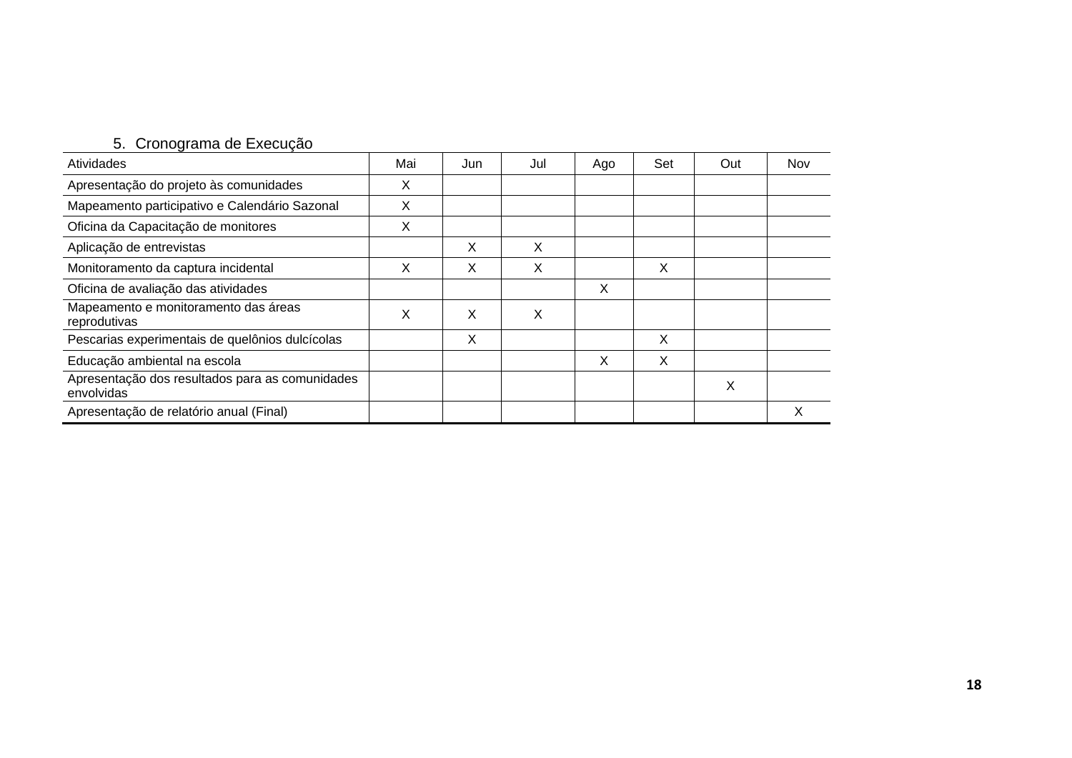## 5. Cronograma de Execução

| Atividades                                                    | Mai | Jun | Jul | Ago | Set | Out | Nov |
|---------------------------------------------------------------|-----|-----|-----|-----|-----|-----|-----|
| Apresentação do projeto às comunidades                        | Х   |     |     |     |     |     |     |
| Mapeamento participativo e Calendário Sazonal                 | х   |     |     |     |     |     |     |
| Oficina da Capacitação de monitores                           | X   |     |     |     |     |     |     |
| Aplicação de entrevistas                                      |     | X   | X   |     |     |     |     |
| Monitoramento da captura incidental                           | х   | X   | X   |     | X   |     |     |
| Oficina de avaliação das atividades                           |     |     |     | X   |     |     |     |
| Mapeamento e monitoramento das áreas<br>reprodutivas          | X   | X   | X   |     |     |     |     |
| Pescarias experimentais de quelônios dulcícolas               |     | X   |     |     | X   |     |     |
| Educação ambiental na escola                                  |     |     |     | X   | X   |     |     |
| Apresentação dos resultados para as comunidades<br>envolvidas |     |     |     |     |     | X   |     |
| Apresentação de relatório anual (Final)                       |     |     |     |     |     |     | Χ   |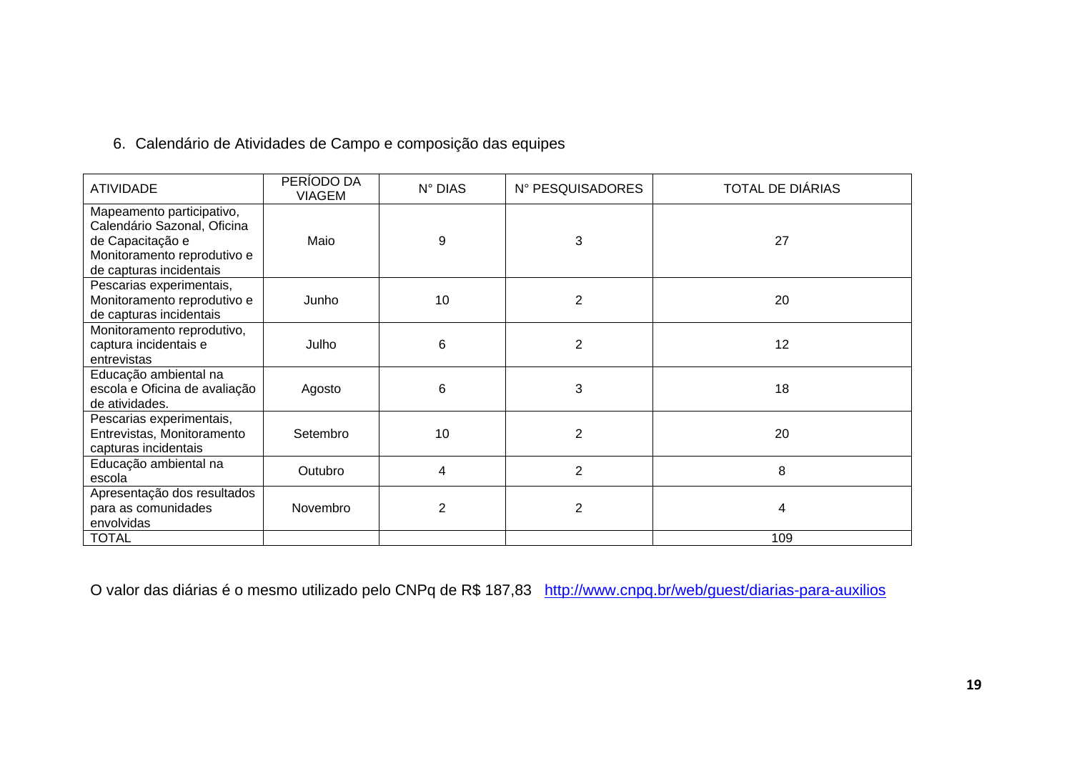# 6. Calendário de Atividades de Campo e composição das equipes

| <b>ATIVIDADE</b>                                                                                                                       | PERÍODO DA<br><b>VIAGEM</b> | N° DIAS        | N° PESQUISADORES | TOTAL DE DIÁRIAS |
|----------------------------------------------------------------------------------------------------------------------------------------|-----------------------------|----------------|------------------|------------------|
| Mapeamento participativo,<br>Calendário Sazonal, Oficina<br>de Capacitação e<br>Monitoramento reprodutivo e<br>de capturas incidentais | Maio                        | 9              | 3                | 27               |
| Pescarias experimentais,<br>Monitoramento reprodutivo e<br>de capturas incidentais                                                     | Junho                       | 10             | $\overline{2}$   | 20               |
| Monitoramento reprodutivo,<br>captura incidentais e<br>entrevistas                                                                     | Julho                       | 6              | 2                | 12               |
| Educação ambiental na<br>escola e Oficina de avaliação<br>de atividades.                                                               | Agosto                      | 6              | 3                | 18               |
| Pescarias experimentais,<br>Entrevistas, Monitoramento<br>capturas incidentais                                                         | Setembro                    | 10             | $\overline{2}$   | 20               |
| Educação ambiental na<br>escola                                                                                                        | Outubro                     | 4              | $\overline{2}$   | 8                |
| Apresentação dos resultados<br>para as comunidades<br>envolvidas                                                                       | Novembro                    | $\overline{2}$ | $\overline{2}$   | 4                |
| <b>TOTAL</b>                                                                                                                           |                             |                |                  | 109              |

O valor das diárias é o mesmo utilizado pelo CNPq de R\$ 187,83 <http://www.cnpq.br/web/guest/diarias-para-auxilios>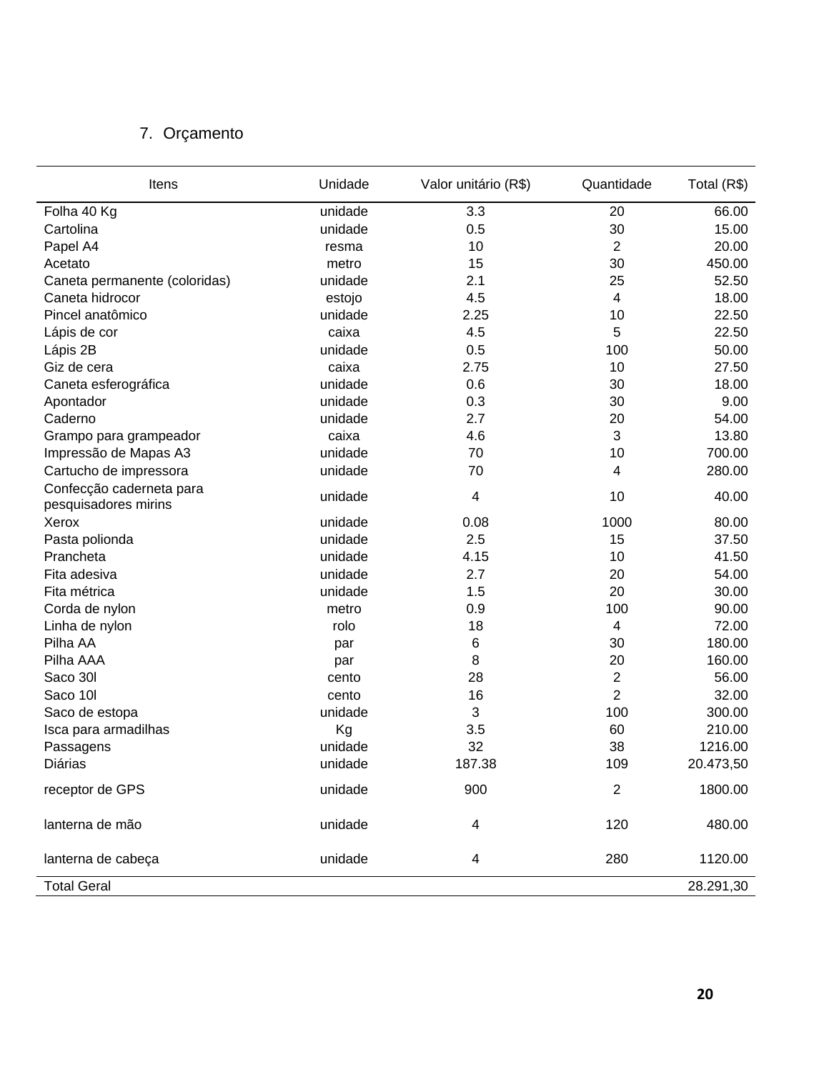# 7. Orçamento

| Itens                                            | Unidade | Valor unitário (R\$) | Quantidade       | Total (R\$) |
|--------------------------------------------------|---------|----------------------|------------------|-------------|
| Folha 40 Kg                                      | unidade | 3.3                  | 20               | 66.00       |
| Cartolina                                        | unidade | 0.5                  | 30               | 15.00       |
| Papel A4                                         | resma   | 10                   | $\overline{2}$   | 20.00       |
| Acetato                                          | metro   | 15                   | 30               | 450.00      |
| Caneta permanente (coloridas)                    | unidade | 2.1                  | 25               | 52.50       |
| Caneta hidrocor                                  | estojo  | 4.5                  | 4                | 18.00       |
| Pincel anatômico                                 | unidade | 2.25                 | 10               | 22.50       |
| Lápis de cor                                     | caixa   | 4.5                  | 5                | 22.50       |
| Lápis 2B                                         | unidade | 0.5                  | 100              | 50.00       |
| Giz de cera                                      | caixa   | 2.75                 | 10               | 27.50       |
| Caneta esferográfica                             | unidade | 0.6                  | 30               | 18.00       |
| Apontador                                        | unidade | 0.3                  | 30               | 9.00        |
| Caderno                                          | unidade | 2.7                  | 20               | 54.00       |
| Grampo para grampeador                           | caixa   | 4.6                  | 3                | 13.80       |
| Impressão de Mapas A3                            | unidade | 70                   | 10               | 700.00      |
| Cartucho de impressora                           | unidade | 70                   | 4                | 280.00      |
| Confecção caderneta para<br>pesquisadores mirins | unidade | 4                    | 10               | 40.00       |
| Xerox                                            | unidade | 0.08                 | 1000             | 80.00       |
| Pasta polionda                                   | unidade | 2.5                  | 15               | 37.50       |
| Prancheta                                        | unidade | 4.15                 | 10               | 41.50       |
| Fita adesiva                                     | unidade | 2.7                  | 20               | 54.00       |
| Fita métrica                                     | unidade | 1.5                  | 20               | 30.00       |
| Corda de nylon                                   | metro   | 0.9                  | 100              | 90.00       |
| Linha de nylon                                   | rolo    | 18                   | 4                | 72.00       |
| Pilha AA                                         | par     | 6                    | 30               | 180.00      |
| Pilha AAA                                        | par     | 8                    | 20               | 160.00      |
| Saco 30l                                         | cento   | 28                   | $\boldsymbol{2}$ | 56.00       |
| Saco 10l                                         | cento   | 16                   | $\overline{2}$   | 32.00       |
| Saco de estopa                                   | unidade | 3                    | 100              | 300.00      |
| Isca para armadilhas                             | Kg      | 3.5                  | 60               | 210.00      |
| Passagens                                        | unidade | 32                   | 38               | 1216.00     |
| Diárias                                          | unidade | 187.38               | 109              | 20.473,50   |
| receptor de GPS                                  | unidade | 900                  | $\sqrt{2}$       | 1800.00     |
| lanterna de mão                                  | unidade | 4                    | 120              | 480.00      |
| lanterna de cabeça                               | unidade | 4                    | 280              | 1120.00     |
| <b>Total Geral</b>                               |         |                      |                  | 28.291,30   |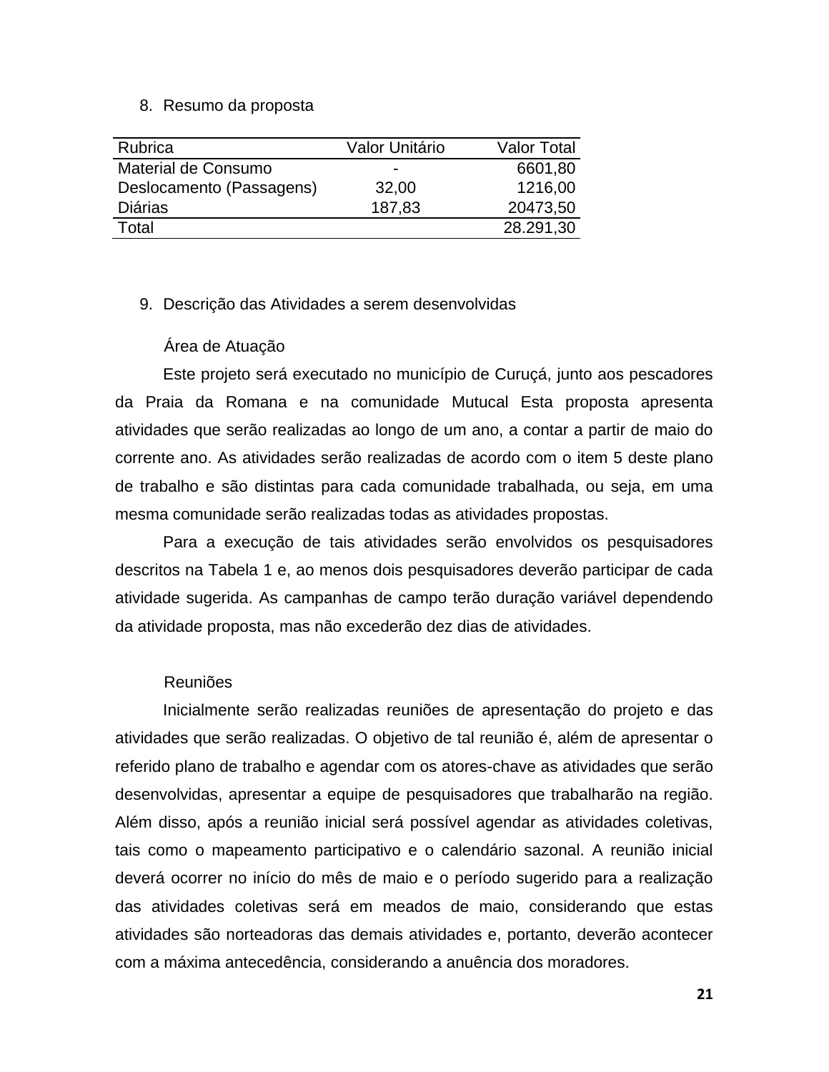#### 8. Resumo da proposta

| Rubrica                  | Valor Unitário           | <b>Valor Total</b> |
|--------------------------|--------------------------|--------------------|
| Material de Consumo      | $\overline{\phantom{0}}$ | 6601,80            |
| Deslocamento (Passagens) | 32,00                    | 1216,00            |
| <b>Diárias</b>           | 187,83                   | 20473,50           |
| Total                    |                          | 28.291,30          |

#### 9. Descrição das Atividades a serem desenvolvidas

#### Área de Atuação

Este projeto será executado no município de Curuçá, junto aos pescadores da Praia da Romana e na comunidade Mutucal Esta proposta apresenta atividades que serão realizadas ao longo de um ano, a contar a partir de maio do corrente ano. As atividades serão realizadas de acordo com o item 5 deste plano de trabalho e são distintas para cada comunidade trabalhada, ou seja, em uma mesma comunidade serão realizadas todas as atividades propostas.

Para a execução de tais atividades serão envolvidos os pesquisadores descritos na Tabela 1 e, ao menos dois pesquisadores deverão participar de cada atividade sugerida. As campanhas de campo terão duração variável dependendo da atividade proposta, mas não excederão dez dias de atividades.

#### Reuniões

Inicialmente serão realizadas reuniões de apresentação do projeto e das atividades que serão realizadas. O objetivo de tal reunião é, além de apresentar o referido plano de trabalho e agendar com os atores-chave as atividades que serão desenvolvidas, apresentar a equipe de pesquisadores que trabalharão na região. Além disso, após a reunião inicial será possível agendar as atividades coletivas, tais como o mapeamento participativo e o calendário sazonal. A reunião inicial deverá ocorrer no início do mês de maio e o período sugerido para a realização das atividades coletivas será em meados de maio, considerando que estas atividades são norteadoras das demais atividades e, portanto, deverão acontecer com a máxima antecedência, considerando a anuência dos moradores.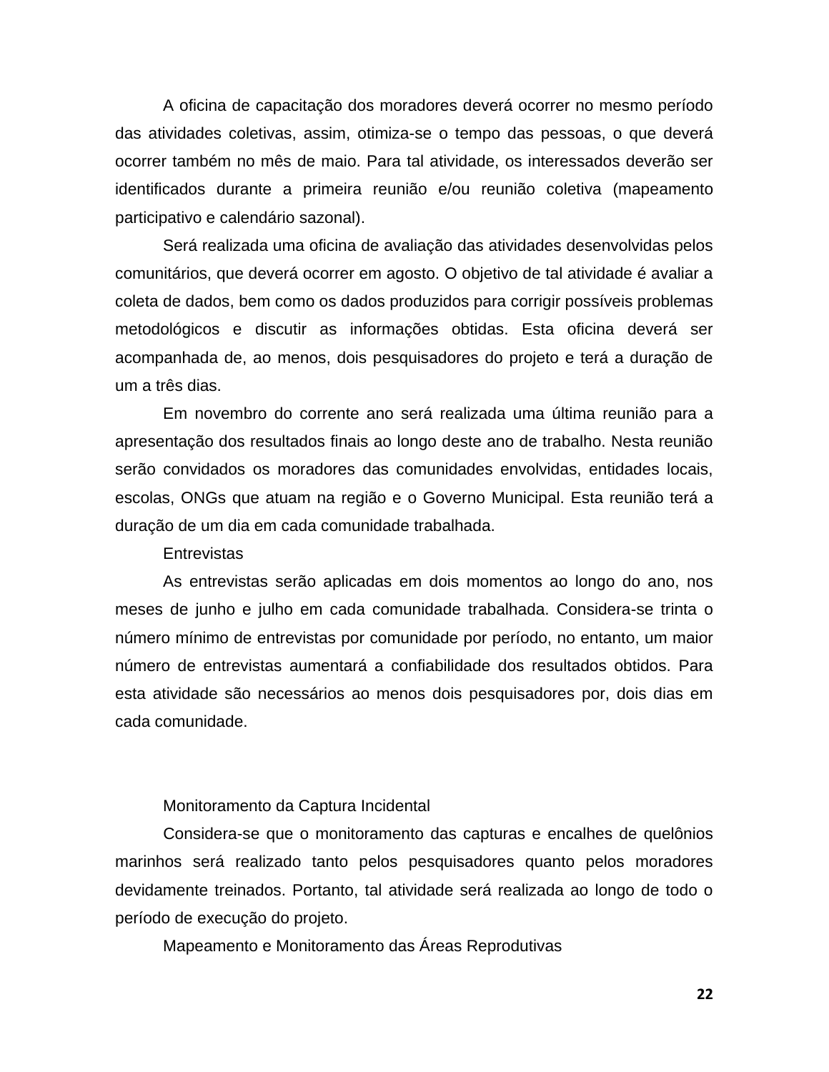A oficina de capacitação dos moradores deverá ocorrer no mesmo período das atividades coletivas, assim, otimiza-se o tempo das pessoas, o que deverá ocorrer também no mês de maio. Para tal atividade, os interessados deverão ser identificados durante a primeira reunião e/ou reunião coletiva (mapeamento participativo e calendário sazonal).

Será realizada uma oficina de avaliação das atividades desenvolvidas pelos comunitários, que deverá ocorrer em agosto. O objetivo de tal atividade é avaliar a coleta de dados, bem como os dados produzidos para corrigir possíveis problemas metodológicos e discutir as informações obtidas. Esta oficina deverá ser acompanhada de, ao menos, dois pesquisadores do projeto e terá a duração de um a três dias.

Em novembro do corrente ano será realizada uma última reunião para a apresentação dos resultados finais ao longo deste ano de trabalho. Nesta reunião serão convidados os moradores das comunidades envolvidas, entidades locais, escolas, ONGs que atuam na região e o Governo Municipal. Esta reunião terá a duração de um dia em cada comunidade trabalhada.

#### **Entrevistas**

As entrevistas serão aplicadas em dois momentos ao longo do ano, nos meses de junho e julho em cada comunidade trabalhada. Considera-se trinta o número mínimo de entrevistas por comunidade por período, no entanto, um maior número de entrevistas aumentará a confiabilidade dos resultados obtidos. Para esta atividade são necessários ao menos dois pesquisadores por, dois dias em cada comunidade.

#### Monitoramento da Captura Incidental

Considera-se que o monitoramento das capturas e encalhes de quelônios marinhos será realizado tanto pelos pesquisadores quanto pelos moradores devidamente treinados. Portanto, tal atividade será realizada ao longo de todo o período de execução do projeto.

Mapeamento e Monitoramento das Áreas Reprodutivas

**22**